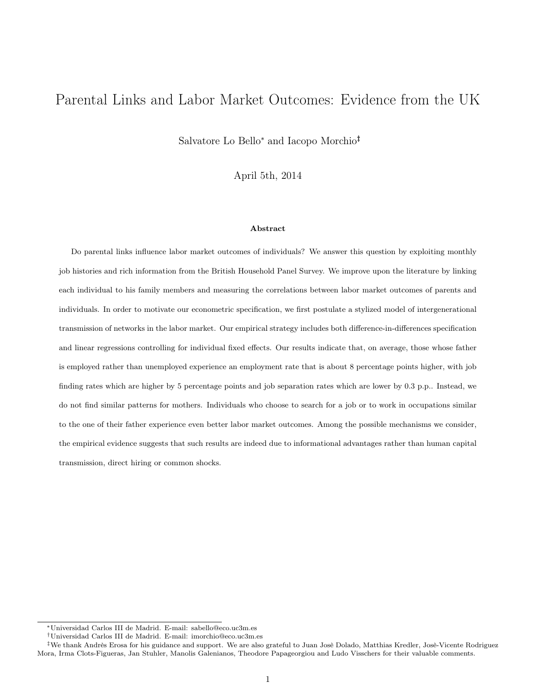# Parental Links and Labor Market Outcomes: Evidence from the UK

Salvatore Lo Bello<sup>∗</sup> and Iacopo Morchio†‡

April 5th, 2014

#### Abstract

Do parental links influence labor market outcomes of individuals? We answer this question by exploiting monthly job histories and rich information from the British Household Panel Survey. We improve upon the literature by linking each individual to his family members and measuring the correlations between labor market outcomes of parents and individuals. In order to motivate our econometric specification, we first postulate a stylized model of intergenerational transmission of networks in the labor market. Our empirical strategy includes both difference-in-differences specification and linear regressions controlling for individual fixed effects. Our results indicate that, on average, those whose father is employed rather than unemployed experience an employment rate that is about 8 percentage points higher, with job finding rates which are higher by 5 percentage points and job separation rates which are lower by 0.3 p.p.. Instead, we do not find similar patterns for mothers. Individuals who choose to search for a job or to work in occupations similar to the one of their father experience even better labor market outcomes. Among the possible mechanisms we consider, the empirical evidence suggests that such results are indeed due to informational advantages rather than human capital transmission, direct hiring or common shocks.

<sup>∗</sup>Universidad Carlos III de Madrid. E-mail: sabello@eco.uc3m.es

<sup>†</sup>Universidad Carlos III de Madrid. E-mail: imorchio@eco.uc3m.es

<sup>‡</sup>We thank Andrès Erosa for his guidance and support. We are also grateful to Juan Josè Dolado, Matthias Kredler, Josè-Vicente Rodriguez Mora, Irma Clots-Figueras, Jan Stuhler, Manolis Galenianos, Theodore Papageorgiou and Ludo Visschers for their valuable comments.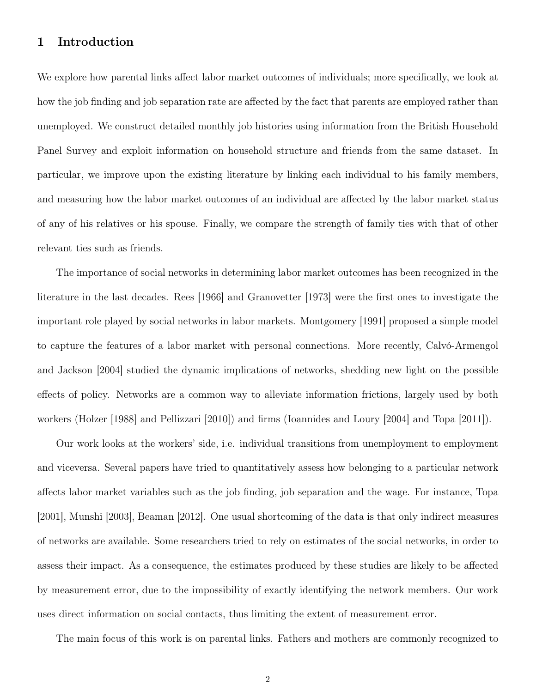## 1 Introduction

We explore how parental links affect labor market outcomes of individuals; more specifically, we look at how the job finding and job separation rate are affected by the fact that parents are employed rather than unemployed. We construct detailed monthly job histories using information from the British Household Panel Survey and exploit information on household structure and friends from the same dataset. In particular, we improve upon the existing literature by linking each individual to his family members, and measuring how the labor market outcomes of an individual are affected by the labor market status of any of his relatives or his spouse. Finally, we compare the strength of family ties with that of other relevant ties such as friends.

The importance of social networks in determining labor market outcomes has been recognized in the literature in the last decades. Rees [1966] and Granovetter [1973] were the first ones to investigate the important role played by social networks in labor markets. Montgomery [1991] proposed a simple model to capture the features of a labor market with personal connections. More recently, Calvó-Armengol and Jackson [2004] studied the dynamic implications of networks, shedding new light on the possible effects of policy. Networks are a common way to alleviate information frictions, largely used by both workers (Holzer [1988] and Pellizzari [2010]) and firms (Ioannides and Loury [2004] and Topa [2011]).

Our work looks at the workers' side, i.e. individual transitions from unemployment to employment and viceversa. Several papers have tried to quantitatively assess how belonging to a particular network affects labor market variables such as the job finding, job separation and the wage. For instance, Topa [2001], Munshi [2003], Beaman [2012]. One usual shortcoming of the data is that only indirect measures of networks are available. Some researchers tried to rely on estimates of the social networks, in order to assess their impact. As a consequence, the estimates produced by these studies are likely to be affected by measurement error, due to the impossibility of exactly identifying the network members. Our work uses direct information on social contacts, thus limiting the extent of measurement error.

The main focus of this work is on parental links. Fathers and mothers are commonly recognized to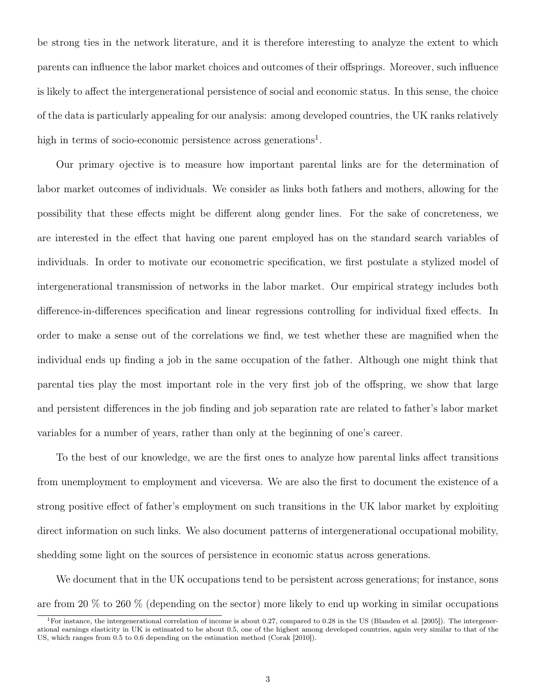be strong ties in the network literature, and it is therefore interesting to analyze the extent to which parents can influence the labor market choices and outcomes of their offsprings. Moreover, such influence is likely to affect the intergenerational persistence of social and economic status. In this sense, the choice of the data is particularly appealing for our analysis: among developed countries, the UK ranks relatively high in terms of socio-economic persistence across generations<sup>1</sup>.

Our primary ojective is to measure how important parental links are for the determination of labor market outcomes of individuals. We consider as links both fathers and mothers, allowing for the possibility that these effects might be different along gender lines. For the sake of concreteness, we are interested in the effect that having one parent employed has on the standard search variables of individuals. In order to motivate our econometric specification, we first postulate a stylized model of intergenerational transmission of networks in the labor market. Our empirical strategy includes both difference-in-differences specification and linear regressions controlling for individual fixed effects. In order to make a sense out of the correlations we find, we test whether these are magnified when the individual ends up finding a job in the same occupation of the father. Although one might think that parental ties play the most important role in the very first job of the offspring, we show that large and persistent differences in the job finding and job separation rate are related to father's labor market variables for a number of years, rather than only at the beginning of one's career.

To the best of our knowledge, we are the first ones to analyze how parental links affect transitions from unemployment to employment and viceversa. We are also the first to document the existence of a strong positive effect of father's employment on such transitions in the UK labor market by exploiting direct information on such links. We also document patterns of intergenerational occupational mobility, shedding some light on the sources of persistence in economic status across generations.

We document that in the UK occupations tend to be persistent across generations; for instance, sons are from 20 % to 260 % (depending on the sector) more likely to end up working in similar occupations

<sup>&</sup>lt;sup>1</sup>For instance, the intergenerational correlation of income is about 0.27, compared to 0.28 in the US (Blanden et al. [2005]). The intergenerational earnings elasticity in UK is estimated to be about 0.5, one of the highest among developed countries, again very similar to that of the US, which ranges from 0.5 to 0.6 depending on the estimation method (Corak [2010]).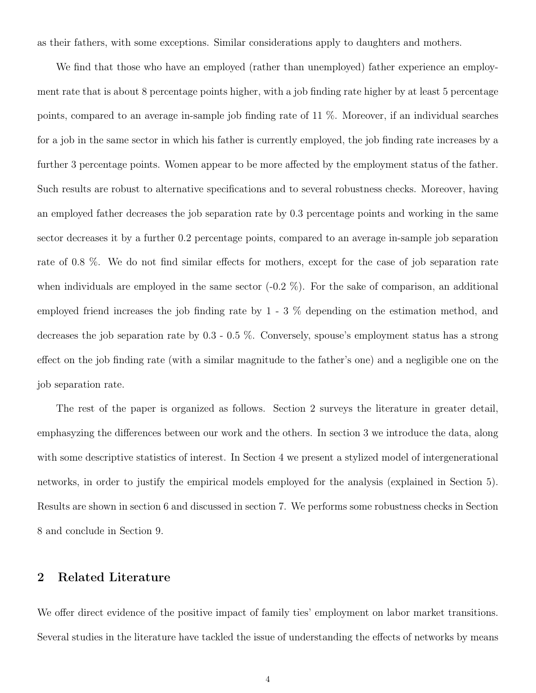as their fathers, with some exceptions. Similar considerations apply to daughters and mothers.

We find that those who have an employed (rather than unemployed) father experience an employment rate that is about 8 percentage points higher, with a job finding rate higher by at least 5 percentage points, compared to an average in-sample job finding rate of 11 %. Moreover, if an individual searches for a job in the same sector in which his father is currently employed, the job finding rate increases by a further 3 percentage points. Women appear to be more affected by the employment status of the father. Such results are robust to alternative specifications and to several robustness checks. Moreover, having an employed father decreases the job separation rate by 0.3 percentage points and working in the same sector decreases it by a further 0.2 percentage points, compared to an average in-sample job separation rate of 0.8 %. We do not find similar effects for mothers, except for the case of job separation rate when individuals are employed in the same sector  $(-0.2\%)$ . For the sake of comparison, an additional employed friend increases the job finding rate by 1 - 3 % depending on the estimation method, and decreases the job separation rate by 0.3 - 0.5 %. Conversely, spouse's employment status has a strong effect on the job finding rate (with a similar magnitude to the father's one) and a negligible one on the job separation rate.

The rest of the paper is organized as follows. Section 2 surveys the literature in greater detail, emphasyzing the differences between our work and the others. In section 3 we introduce the data, along with some descriptive statistics of interest. In Section 4 we present a stylized model of intergenerational networks, in order to justify the empirical models employed for the analysis (explained in Section 5). Results are shown in section 6 and discussed in section 7. We performs some robustness checks in Section 8 and conclude in Section 9.

## 2 Related Literature

We offer direct evidence of the positive impact of family ties' employment on labor market transitions. Several studies in the literature have tackled the issue of understanding the effects of networks by means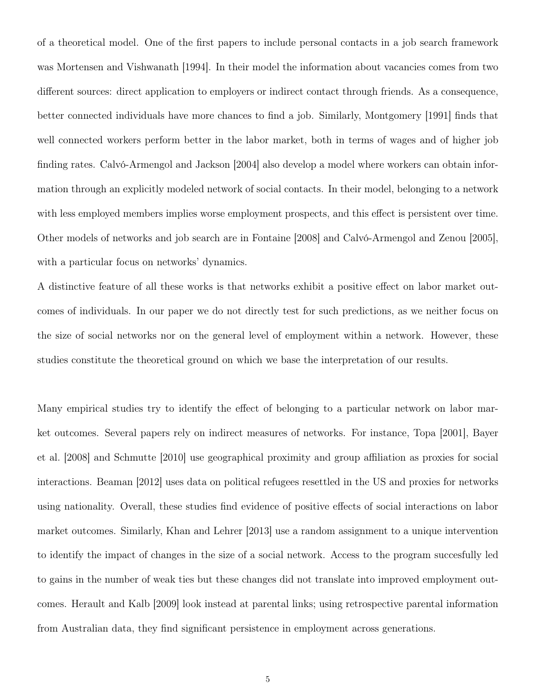of a theoretical model. One of the first papers to include personal contacts in a job search framework was Mortensen and Vishwanath [1994]. In their model the information about vacancies comes from two different sources: direct application to employers or indirect contact through friends. As a consequence, better connected individuals have more chances to find a job. Similarly, Montgomery [1991] finds that well connected workers perform better in the labor market, both in terms of wages and of higher job finding rates. Calvó-Armengol and Jackson [2004] also develop a model where workers can obtain information through an explicitly modeled network of social contacts. In their model, belonging to a network with less employed members implies worse employment prospects, and this effect is persistent over time. Other models of networks and job search are in Fontaine [2008] and Calvó-Armengol and Zenou [2005], with a particular focus on networks' dynamics.

A distinctive feature of all these works is that networks exhibit a positive effect on labor market outcomes of individuals. In our paper we do not directly test for such predictions, as we neither focus on the size of social networks nor on the general level of employment within a network. However, these studies constitute the theoretical ground on which we base the interpretation of our results.

Many empirical studies try to identify the effect of belonging to a particular network on labor market outcomes. Several papers rely on indirect measures of networks. For instance, Topa [2001], Bayer et al. [2008] and Schmutte [2010] use geographical proximity and group affiliation as proxies for social interactions. Beaman [2012] uses data on political refugees resettled in the US and proxies for networks using nationality. Overall, these studies find evidence of positive effects of social interactions on labor market outcomes. Similarly, Khan and Lehrer [2013] use a random assignment to a unique intervention to identify the impact of changes in the size of a social network. Access to the program succesfully led to gains in the number of weak ties but these changes did not translate into improved employment outcomes. Herault and Kalb [2009] look instead at parental links; using retrospective parental information from Australian data, they find significant persistence in employment across generations.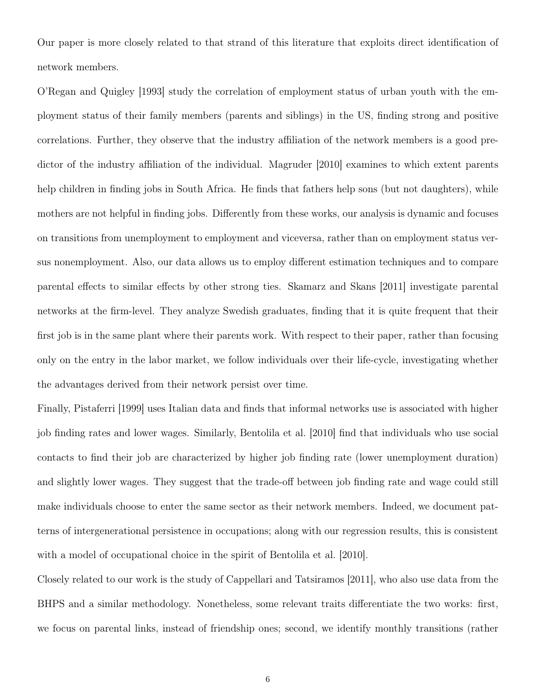Our paper is more closely related to that strand of this literature that exploits direct identification of network members.

O'Regan and Quigley [1993] study the correlation of employment status of urban youth with the employment status of their family members (parents and siblings) in the US, finding strong and positive correlations. Further, they observe that the industry affiliation of the network members is a good predictor of the industry affiliation of the individual. Magruder [2010] examines to which extent parents help children in finding jobs in South Africa. He finds that fathers help sons (but not daughters), while mothers are not helpful in finding jobs. Differently from these works, our analysis is dynamic and focuses on transitions from unemployment to employment and viceversa, rather than on employment status versus nonemployment. Also, our data allows us to employ different estimation techniques and to compare parental effects to similar effects by other strong ties. Skamarz and Skans [2011] investigate parental networks at the firm-level. They analyze Swedish graduates, finding that it is quite frequent that their first job is in the same plant where their parents work. With respect to their paper, rather than focusing only on the entry in the labor market, we follow individuals over their life-cycle, investigating whether the advantages derived from their network persist over time.

Finally, Pistaferri [1999] uses Italian data and finds that informal networks use is associated with higher job finding rates and lower wages. Similarly, Bentolila et al. [2010] find that individuals who use social contacts to find their job are characterized by higher job finding rate (lower unemployment duration) and slightly lower wages. They suggest that the trade-off between job finding rate and wage could still make individuals choose to enter the same sector as their network members. Indeed, we document patterns of intergenerational persistence in occupations; along with our regression results, this is consistent with a model of occupational choice in the spirit of Bentolila et al. [2010].

Closely related to our work is the study of Cappellari and Tatsiramos [2011], who also use data from the BHPS and a similar methodology. Nonetheless, some relevant traits differentiate the two works: first, we focus on parental links, instead of friendship ones; second, we identify monthly transitions (rather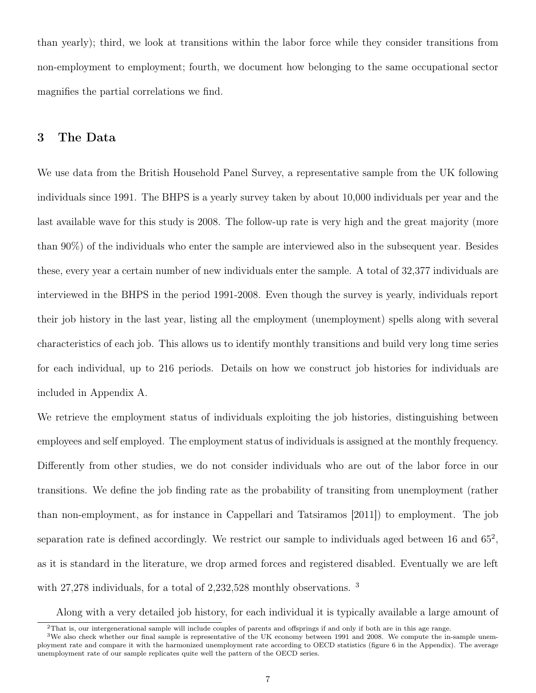than yearly); third, we look at transitions within the labor force while they consider transitions from non-employment to employment; fourth, we document how belonging to the same occupational sector magnifies the partial correlations we find.

## 3 The Data

We use data from the British Household Panel Survey, a representative sample from the UK following individuals since 1991. The BHPS is a yearly survey taken by about 10,000 individuals per year and the last available wave for this study is 2008. The follow-up rate is very high and the great majority (more than 90%) of the individuals who enter the sample are interviewed also in the subsequent year. Besides these, every year a certain number of new individuals enter the sample. A total of 32,377 individuals are interviewed in the BHPS in the period 1991-2008. Even though the survey is yearly, individuals report their job history in the last year, listing all the employment (unemployment) spells along with several characteristics of each job. This allows us to identify monthly transitions and build very long time series for each individual, up to 216 periods. Details on how we construct job histories for individuals are included in Appendix A.

We retrieve the employment status of individuals exploiting the job histories, distinguishing between employees and self employed. The employment status of individuals is assigned at the monthly frequency. Differently from other studies, we do not consider individuals who are out of the labor force in our transitions. We define the job finding rate as the probability of transiting from unemployment (rather than non-employment, as for instance in Cappellari and Tatsiramos [2011]) to employment. The job separation rate is defined accordingly. We restrict our sample to individuals aged between 16 and  $65^2$ , as it is standard in the literature, we drop armed forces and registered disabled. Eventually we are left with 27,278 individuals, for a total of 2,232,528 monthly observations. <sup>3</sup>

Along with a very detailed job history, for each individual it is typically available a large amount of

 $2$ That is, our intergenerational sample will include couples of parents and offsprings if and only if both are in this age range.

<sup>&</sup>lt;sup>3</sup>We also check whether our final sample is representative of the UK economy between 1991 and 2008. We compute the in-sample unemployment rate and compare it with the harmonized unemployment rate according to OECD statistics (figure 6 in the Appendix). The average unemployment rate of our sample replicates quite well the pattern of the OECD series.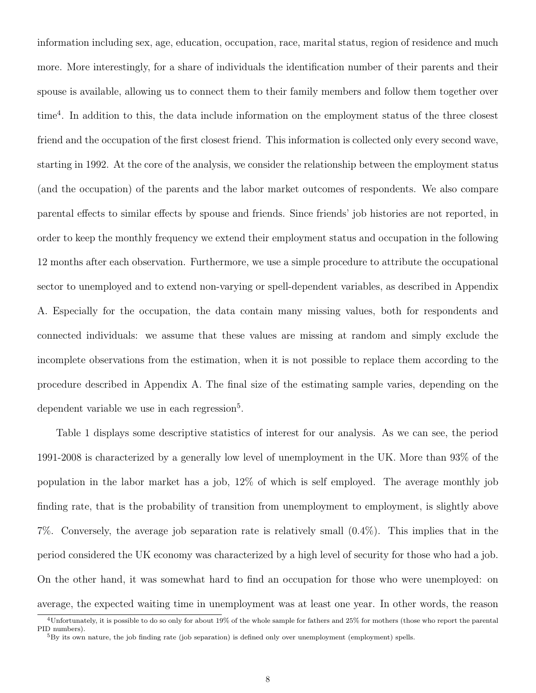information including sex, age, education, occupation, race, marital status, region of residence and much more. More interestingly, for a share of individuals the identification number of their parents and their spouse is available, allowing us to connect them to their family members and follow them together over time<sup>4</sup> . In addition to this, the data include information on the employment status of the three closest friend and the occupation of the first closest friend. This information is collected only every second wave, starting in 1992. At the core of the analysis, we consider the relationship between the employment status (and the occupation) of the parents and the labor market outcomes of respondents. We also compare parental effects to similar effects by spouse and friends. Since friends' job histories are not reported, in order to keep the monthly frequency we extend their employment status and occupation in the following 12 months after each observation. Furthermore, we use a simple procedure to attribute the occupational sector to unemployed and to extend non-varying or spell-dependent variables, as described in Appendix A. Especially for the occupation, the data contain many missing values, both for respondents and connected individuals: we assume that these values are missing at random and simply exclude the incomplete observations from the estimation, when it is not possible to replace them according to the procedure described in Appendix A. The final size of the estimating sample varies, depending on the dependent variable we use in each regression<sup>5</sup>.

Table 1 displays some descriptive statistics of interest for our analysis. As we can see, the period 1991-2008 is characterized by a generally low level of unemployment in the UK. More than 93% of the population in the labor market has a job, 12% of which is self employed. The average monthly job finding rate, that is the probability of transition from unemployment to employment, is slightly above 7%. Conversely, the average job separation rate is relatively small (0.4%). This implies that in the period considered the UK economy was characterized by a high level of security for those who had a job. On the other hand, it was somewhat hard to find an occupation for those who were unemployed: on average, the expected waiting time in unemployment was at least one year. In other words, the reason

 $4$ Unfortunately, it is possible to do so only for about 19% of the whole sample for fathers and 25% for mothers (those who report the parental PID numbers).

 ${}^{5}$ By its own nature, the job finding rate (job separation) is defined only over unemployment (employment) spells.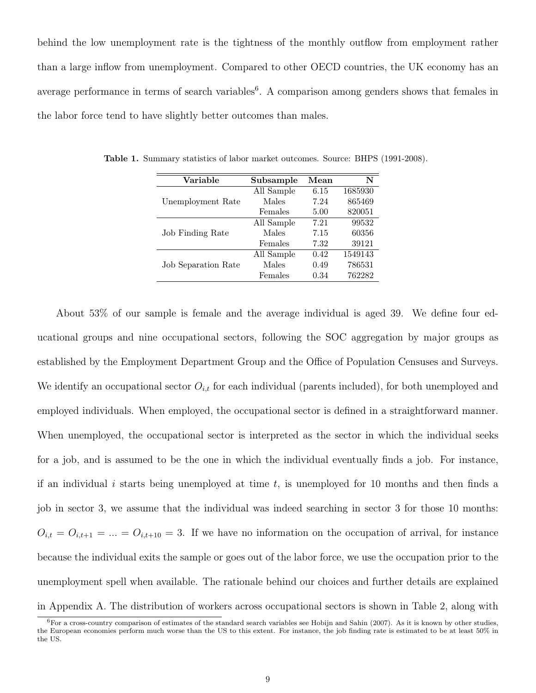behind the low unemployment rate is the tightness of the monthly outflow from employment rather than a large inflow from unemployment. Compared to other OECD countries, the UK economy has an average performance in terms of search variables<sup>6</sup>. A comparison among genders shows that females in the labor force tend to have slightly better outcomes than males.

| Variable                   | Subsample  | Mean | N       |
|----------------------------|------------|------|---------|
|                            | All Sample | 6.15 | 1685930 |
| Unemployment Rate          | Males      | 7.24 | 865469  |
|                            | Females    | 5.00 | 820051  |
| Job Finding Rate           | All Sample | 7.21 | 99532   |
|                            | Males      | 7.15 | 60356   |
|                            | Females    | 7.32 | 39121   |
|                            | All Sample | 0.42 | 1549143 |
| <b>Job Separation Rate</b> | Males      | 0.49 | 786531  |
|                            | Females    | 0.34 | 762282  |

Table 1. Summary statistics of labor market outcomes. Source: BHPS (1991-2008).

About 53% of our sample is female and the average individual is aged 39. We define four educational groups and nine occupational sectors, following the SOC aggregation by major groups as established by the Employment Department Group and the Office of Population Censuses and Surveys. We identify an occupational sector  $O_{i,t}$  for each individual (parents included), for both unemployed and employed individuals. When employed, the occupational sector is defined in a straightforward manner. When unemployed, the occupational sector is interpreted as the sector in which the individual seeks for a job, and is assumed to be the one in which the individual eventually finds a job. For instance, if an individual i starts being unemployed at time  $t$ , is unemployed for 10 months and then finds a job in sector 3, we assume that the individual was indeed searching in sector 3 for those 10 months:  $O_{i,t} = O_{i,t+1} = ... = O_{i,t+10} = 3$ . If we have no information on the occupation of arrival, for instance because the individual exits the sample or goes out of the labor force, we use the occupation prior to the unemployment spell when available. The rationale behind our choices and further details are explained in Appendix A. The distribution of workers across occupational sectors is shown in Table 2, along with

 $6$ For a cross-country comparison of estimates of the standard search variables see Hobijn and Sahin (2007). As it is known by other studies, the European economies perform much worse than the US to this extent. For instance, the job finding rate is estimated to be at least 50% in the US.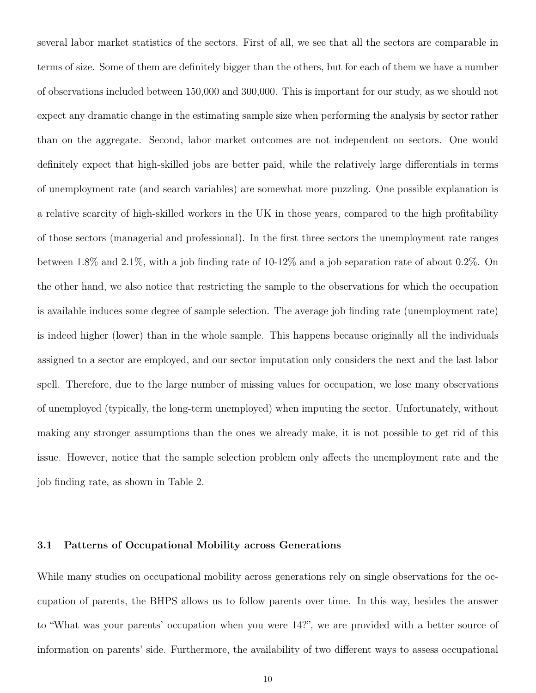several labor market statistics of the sectors. First of all, we see that all the sectors are comparable in terms of size. Some of them are definitely bigger than the others, but for each of them we have a number of observations included between 150,000 and 300,000. This is important for our study, as we should not expect any dramatic change in the estimating sample size when performing the analysis by sector rather than on the aggregate. Second, labor market outcomes are not independent on sectors. One would definitely expect that high-skilled jobs are better paid, while the relatively large differentials in terms of unemployment rate (and search variables) are somewhat more puzzling. One possible explanation is a relative scarcity of high-skilled workers in the UK in those years, compared to the high profitability of those sectors (managerial and professional). In the first three sectors the unemployment rate ranges between 1.8% and 2.1%, with a job finding rate of 10-12% and a job separation rate of about 0.2%. On the other hand, we also notice that restricting the sample to the observations for which the occupation is available induces some degree of sample selection. The average job finding rate (unemployment rate) is indeed higher (lower) than in the whole sample. This happens because originally all the individuals assigned to a sector are employed, and our sector imputation only considers the next and the last labor spell. Therefore, due to the large number of missing values for occupation, we lose many observations of unemployed (typically, the long-term unemployed) when imputing the sector. Unfortunately, without making any stronger assumptions than the ones we already make, it is not possible to get rid of this issue. However, notice that the sample selection problem only affects the unemployment rate and the job finding rate, as shown in Table 2.

### 3.1 Patterns of Occupational Mobility across Generations

While many studies on occupational mobility across generations rely on single observations for the occupation of parents, the BHPS allows us to follow parents over time. In this way, besides the answer to "What was your parents' occupation when you were 14?", we are provided with a better source of information on parents' side. Furthermore, the availability of two different ways to assess occupational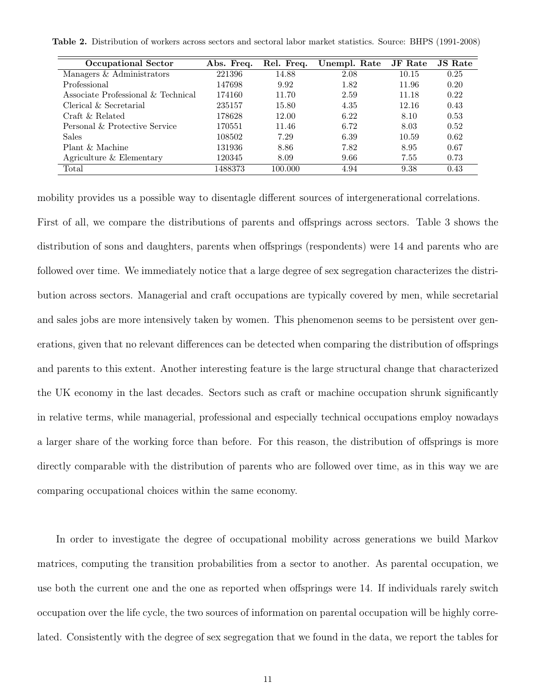Table 2. Distribution of workers across sectors and sectoral labor market statistics. Source: BHPS (1991-2008)

| <b>Occupational Sector</b>         | Abs. Freq. | Rel. Freq. | Unempl. Rate | <b>JF</b> Rate | <b>JS</b> Rate |
|------------------------------------|------------|------------|--------------|----------------|----------------|
| Managers & Administrators          | 221396     | 14.88      | 2.08         | 10.15          | 0.25           |
| Professional                       | 147698     | 9.92       | 1.82         | 11.96          | 0.20           |
| Associate Professional & Technical | 174160     | 11.70      | 2.59         | 11.18          | 0.22           |
| Clerical & Secretarial             | 235157     | 15.80      | 4.35         | 12.16          | 0.43           |
| Craft & Related                    | 178628     | 12.00      | 6.22         | 8.10           | 0.53           |
| Personal & Protective Service      | 170551     | 11.46      | 6.72         | 8.03           | 0.52           |
| <b>Sales</b>                       | 108502     | 7.29       | 6.39         | 10.59          | 0.62           |
| Plant & Machine                    | 131936     | 8.86       | 7.82         | 8.95           | 0.67           |
| Agriculture & Elementary           | 120345     | 8.09       | 9.66         | 7.55           | 0.73           |
| Total                              | 1488373    | 100.000    | 4.94         | 9.38           | 0.43           |

mobility provides us a possible way to disentagle different sources of intergenerational correlations.

First of all, we compare the distributions of parents and offsprings across sectors. Table 3 shows the distribution of sons and daughters, parents when offsprings (respondents) were 14 and parents who are followed over time. We immediately notice that a large degree of sex segregation characterizes the distribution across sectors. Managerial and craft occupations are typically covered by men, while secretarial and sales jobs are more intensively taken by women. This phenomenon seems to be persistent over generations, given that no relevant differences can be detected when comparing the distribution of offsprings and parents to this extent. Another interesting feature is the large structural change that characterized the UK economy in the last decades. Sectors such as craft or machine occupation shrunk significantly in relative terms, while managerial, professional and especially technical occupations employ nowadays a larger share of the working force than before. For this reason, the distribution of offsprings is more directly comparable with the distribution of parents who are followed over time, as in this way we are comparing occupational choices within the same economy.

In order to investigate the degree of occupational mobility across generations we build Markov matrices, computing the transition probabilities from a sector to another. As parental occupation, we use both the current one and the one as reported when offsprings were 14. If individuals rarely switch occupation over the life cycle, the two sources of information on parental occupation will be highly correlated. Consistently with the degree of sex segregation that we found in the data, we report the tables for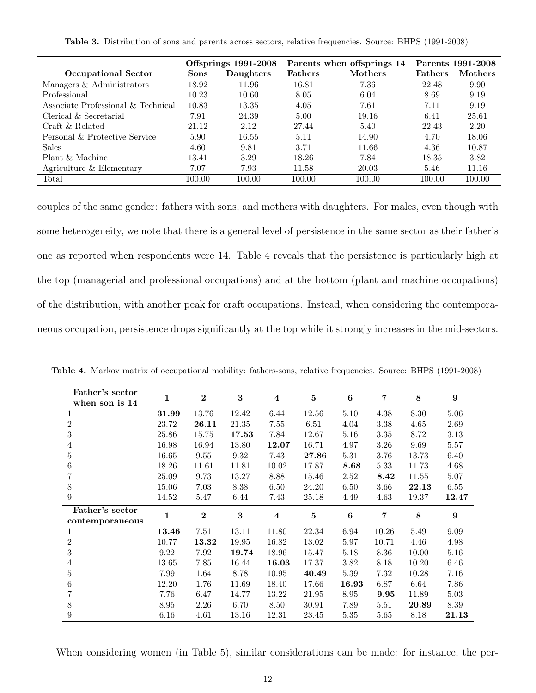| <b>Table 3.</b> Distribution of sons and parents across sectors, relative frequencies. Source: BHPS (1991-2008) |  |  |  |
|-----------------------------------------------------------------------------------------------------------------|--|--|--|
|-----------------------------------------------------------------------------------------------------------------|--|--|--|

|                                    | <b>Offsprings 1991-2008</b> |           |                | Parents when offsprings 14 | Parents 1991-2008 |         |
|------------------------------------|-----------------------------|-----------|----------------|----------------------------|-------------------|---------|
| <b>Occupational Sector</b>         | <b>Sons</b>                 | Daughters | <b>Fathers</b> | <b>Mothers</b>             | <b>Fathers</b>    | Mothers |
| Managers & Administrators          | 18.92                       | 11.96     | 16.81          | 7.36                       | 22.48             | 9.90    |
| Professional                       | 10.23                       | 10.60     | 8.05           | 6.04                       | 8.69              | 9.19    |
| Associate Professional & Technical | 10.83                       | 13.35     | 4.05           | 7.61                       | 7.11              | 9.19    |
| Clerical $&$ Secretarial           | 7.91                        | 24.39     | 5.00           | 19.16                      | 6.41              | 25.61   |
| Craft & Related                    | 21.12                       | 2.12      | 27.44          | 5.40                       | 22.43             | 2.20    |
| Personal & Protective Service      | 5.90                        | 16.55     | 5.11           | 14.90                      | 4.70              | 18.06   |
| <b>Sales</b>                       | 4.60                        | 9.81      | 3.71           | 11.66                      | 4.36              | 10.87   |
| Plant & Machine                    | 13.41                       | 3.29      | 18.26          | 7.84                       | 18.35             | 3.82    |
| Agriculture & Elementary           | 7.07                        | 7.93      | 11.58          | 20.03                      | 5.46              | 11.16   |
| Total                              | 100.00                      | 100.00    | 100.00         | 100.00                     | 100.00            | 100.00  |

couples of the same gender: fathers with sons, and mothers with daughters. For males, even though with some heterogeneity, we note that there is a general level of persistence in the same sector as their father's one as reported when respondents were 14. Table 4 reveals that the persistence is particularly high at the top (managerial and professional occupations) and at the bottom (plant and machine occupations) of the distribution, with another peak for craft occupations. Instead, when considering the contemporaneous occupation, persistence drops significantly at the top while it strongly increases in the mid-sectors.

| Father's sector<br>when son is 14 | 1     | $\bf{2}$         | 3        | $\overline{\mathbf{4}}$ | $\bf{5}$ | $\boldsymbol{6}$ | 7     | 8     | 9           |
|-----------------------------------|-------|------------------|----------|-------------------------|----------|------------------|-------|-------|-------------|
| 1                                 | 31.99 | 13.76            | 12.42    | 6.44                    | 12.56    | 5.10             | 4.38  | 8.30  | 5.06        |
| $\overline{2}$                    | 23.72 | 26.11            | 21.35    | 7.55                    | 6.51     | 4.04             | 3.38  | 4.65  | 2.69        |
| 3                                 | 25.86 | 15.75            | 17.53    | 7.84                    | 12.67    | 5.16             | 3.35  | 8.72  | 3.13        |
| 4                                 | 16.98 | 16.94            | 13.80    | 12.07                   | 16.71    | 4.97             | 3.26  | 9.69  | 5.57        |
| 5                                 | 16.65 | 9.55             | 9.32     | 7.43                    | 27.86    | 5.31             | 3.76  | 13.73 | 6.40        |
| 6                                 | 18.26 | 11.61            | 11.81    | 10.02                   | 17.87    | 8.68             | 5.33  | 11.73 | 4.68        |
| 7                                 | 25.09 | 9.73             | 13.27    | 8.88                    | 15.46    | 2.52             | 8.42  | 11.55 | 5.07        |
| 8                                 | 15.06 | 7.03             | 8.38     | 6.50                    | 24.20    | 6.50             | 3.66  | 22.13 | 6.55        |
| 9                                 | 14.52 | 5.47             | 6.44     | 7.43                    | 25.18    | 4.49             | 4.63  | 19.37 | 12.47       |
| Father's sector                   | 1     | $\boldsymbol{2}$ | $\bf{3}$ | $\overline{\mathbf{4}}$ | $\bf{5}$ | $\boldsymbol{6}$ | 7     | 8     | 9           |
| contemporaneous                   |       |                  |          |                         |          |                  |       |       |             |
| 1                                 | 13.46 | 7.51             | 13.11    | 11.80                   | 22.34    | 6.94             | 10.26 | 5.49  | 9.09        |
| $\overline{2}$                    | 10.77 | 13.32            | 19.95    | 16.82                   | 13.02    | 5.97             | 10.71 | 4.46  | 4.98        |
| 3                                 | 9.22  | 7.92             | 19.74    | 18.96                   | 15.47    | 5.18             | 8.36  | 10.00 | 5.16        |
| 4                                 | 13.65 | 7.85             | 16.44    | 16.03                   | 17.37    | 3.82             | 8.18  | 10.20 | 6.46        |
| 5                                 | 7.99  | 1.64             | 8.78     | 10.95                   | 40.49    | 5.39             | 7.32  | 10.28 | 7.16        |
| 6                                 | 12.20 | 1.76             | 11.69    | 18.40                   | 17.66    | 16.93            | 6.87  | 6.64  | 7.86        |
| 7                                 | 7.76  | 6.47             | 14.77    | 13.22                   | 21.95    | 8.95             | 9.95  | 11.89 | 5.03        |
| 8                                 | 8.95  | 2.26             | 6.70     | 8.50                    | 30.91    | 7.89             | 5.51  | 20.89 | 8.39        |
| 9                                 | 6.16  | 4.61             | 13.16    | 12.31                   | 23.45    | 5.35             | 5.65  | 8.18  | $\bf 21.13$ |

Table 4. Markov matrix of occupational mobility: fathers-sons, relative frequencies. Source: BHPS (1991-2008)

When considering women (in Table 5), similar considerations can be made: for instance, the per-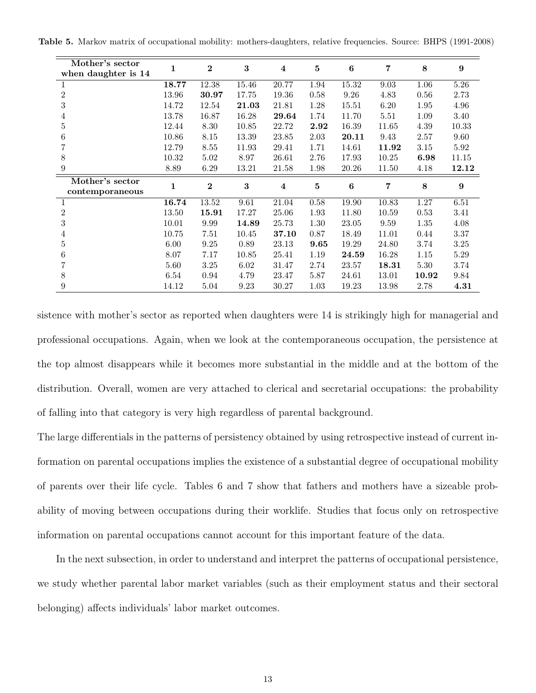|  | <b>Table 5.</b> Markov matrix of occupational mobility: mothers-daughters, relative frequencies. Source: BHPS (1991-2008) |  |  |  |  |  |  |
|--|---------------------------------------------------------------------------------------------------------------------------|--|--|--|--|--|--|
|--|---------------------------------------------------------------------------------------------------------------------------|--|--|--|--|--|--|

| Mother's sector<br>when daughter is 14 | 1            | $\overline{2}$   | 3     | $\overline{\mathbf{4}}$ | $\bf{5}$ | $\boldsymbol{6}$ | 7     | 8     | 9     |
|----------------------------------------|--------------|------------------|-------|-------------------------|----------|------------------|-------|-------|-------|
|                                        | 18.77        | 12.38            | 15.46 | 20.77                   | 1.94     | 15.32            | 9.03  | 1.06  | 5.26  |
| $\overline{2}$                         | 13.96        | 30.97            | 17.75 | 19.36                   | 0.58     | 9.26             | 4.83  | 0.56  | 2.73  |
| $\sqrt{3}$                             | 14.72        | 12.54            | 21.03 | 21.81                   | 1.28     | 15.51            | 6.20  | 1.95  | 4.96  |
| 4                                      | 13.78        | 16.87            | 16.28 | 29.64                   | 1.74     | 11.70            | 5.51  | 1.09  | 3.40  |
| 5                                      | 12.44        | 8.30             | 10.85 | 22.72                   | 2.92     | 16.39            | 11.65 | 4.39  | 10.33 |
| 6                                      | 10.86        | 8.15             | 13.39 | 23.85                   | 2.03     | 20.11            | 9.43  | 2.57  | 9.60  |
| 7                                      | 12.79        | 8.55             | 11.93 | 29.41                   | 1.71     | 14.61            | 11.92 | 3.15  | 5.92  |
| 8                                      | 10.32        | 5.02             | 8.97  | 26.61                   | 2.76     | 17.93            | 10.25 | 6.98  | 11.15 |
| 9                                      | 8.89         | 6.29             | 13.21 | 21.58                   | 1.98     | 20.26            | 11.50 | 4.18  | 12.12 |
| Mother's sector                        | $\mathbf{1}$ | $\boldsymbol{2}$ | 3     | $\overline{\mathbf{4}}$ | 5        | $\boldsymbol{6}$ | 7     | 8     | 9     |
| contemporaneous                        |              |                  |       |                         |          |                  |       |       |       |
| 1                                      | 16.74        | 13.52            | 9.61  | 21.04                   | 0.58     | 19.90            | 10.83 | 1.27  | 6.51  |
| $\overline{2}$                         | 13.50        | 15.91            | 17.27 | 25.06                   | 1.93     | 11.80            | 10.59 | 0.53  | 3.41  |
| 3                                      | 10.01        | 9.99             | 14.89 | 25.73                   | 1.30     | 23.05            | 9.59  | 1.35  | 4.08  |
| 4                                      | 10.75        | 7.51             | 10.45 | 37.10                   | 0.87     | 18.49            | 11.01 | 0.44  | 3.37  |
| 5                                      | 6.00         | 9.25             | 0.89  | 23.13                   | 9.65     | 19.29            | 24.80 | 3.74  | 3.25  |
| 6                                      | 8.07         | 7.17             | 10.85 | 25.41                   | 1.19     | 24.59            | 16.28 | 1.15  | 5.29  |
|                                        | 5.60         | 3.25             | 6.02  | 31.47                   | 2.74     | 23.57            | 18.31 | 5.30  | 3.74  |
| 8                                      | 6.54         | 0.94             | 4.79  | 23.47                   | 5.87     | 24.61            | 13.01 | 10.92 | 9.84  |
| 9                                      | 14.12        | 5.04             | 9.23  | 30.27                   | 1.03     | 19.23            | 13.98 | 2.78  | 4.31  |

sistence with mother's sector as reported when daughters were 14 is strikingly high for managerial and professional occupations. Again, when we look at the contemporaneous occupation, the persistence at the top almost disappears while it becomes more substantial in the middle and at the bottom of the distribution. Overall, women are very attached to clerical and secretarial occupations: the probability of falling into that category is very high regardless of parental background.

The large differentials in the patterns of persistency obtained by using retrospective instead of current information on parental occupations implies the existence of a substantial degree of occupational mobility of parents over their life cycle. Tables 6 and 7 show that fathers and mothers have a sizeable probability of moving between occupations during their worklife. Studies that focus only on retrospective information on parental occupations cannot account for this important feature of the data.

In the next subsection, in order to understand and interpret the patterns of occupational persistence, we study whether parental labor market variables (such as their employment status and their sectoral belonging) affects individuals' labor market outcomes.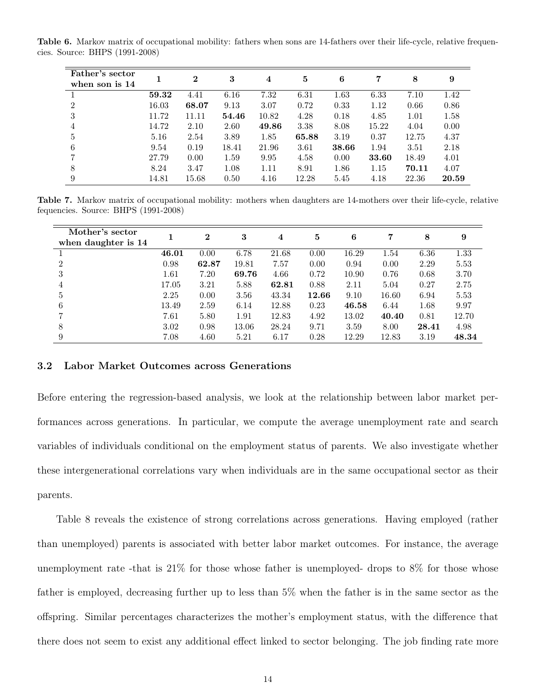Table 6. Markov matrix of occupational mobility: fathers when sons are 14-fathers over their life-cycle, relative frequencies. Source: BHPS (1991-2008)

| Father's sector<br>when son is 14 |       | $\bf{2}$ | 3     | 4     | 5     | 6     | 7     | 8     | 9     |
|-----------------------------------|-------|----------|-------|-------|-------|-------|-------|-------|-------|
|                                   | 59.32 | 4.41     | 6.16  | 7.32  | 6.31  | 1.63  | 6.33  | 7.10  | 1.42  |
| $\mathfrak{D}$                    | 16.03 | 68.07    | 9.13  | 3.07  | 0.72  | 0.33  | 1.12  | 0.66  | 0.86  |
| 3                                 | 11.72 | 11.11    | 54.46 | 10.82 | 4.28  | 0.18  | 4.85  | 1.01  | 1.58  |
| 4                                 | 14.72 | 2.10     | 2.60  | 49.86 | 3.38  | 8.08  | 15.22 | 4.04  | 0.00  |
| 5                                 | 5.16  | 2.54     | 3.89  | 1.85  | 65.88 | 3.19  | 0.37  | 12.75 | 4.37  |
| 6                                 | 9.54  | 0.19     | 18.41 | 21.96 | 3.61  | 38.66 | 1.94  | 3.51  | 2.18  |
|                                   | 27.79 | 0.00     | 1.59  | 9.95  | 4.58  | 0.00  | 33.60 | 18.49 | 4.01  |
| 8                                 | 8.24  | 3.47     | 1.08  | 1.11  | 8.91  | 1.86  | 1.15  | 70.11 | 4.07  |
| 9                                 | 14.81 | 15.68    | 0.50  | 4.16  | 12.28 | 5.45  | 4.18  | 22.36 | 20.59 |

Table 7. Markov matrix of occupational mobility: mothers when daughters are 14-mothers over their life-cycle, relative fequencies. Source: BHPS (1991-2008)

| Mother's sector<br>when daughter is 14 |       | $\bf{2}$ | 3     | $\overline{\bf 4}$ | 5     | 6     | 7     | 8     | 9     |
|----------------------------------------|-------|----------|-------|--------------------|-------|-------|-------|-------|-------|
|                                        | 46.01 | 0.00     | 6.78  | 21.68              | 0.00  | 16.29 | 1.54  | 6.36  | 1.33  |
| $\mathfrak{D}$                         | 0.98  | 62.87    | 19.81 | 7.57               | 0.00  | 0.94  | 0.00  | 2.29  | 5.53  |
| 3                                      | 1.61  | 7.20     | 69.76 | 4.66               | 0.72  | 10.90 | 0.76  | 0.68  | 3.70  |
| 4                                      | 17.05 | 3.21     | 5.88  | 62.81              | 0.88  | 2.11  | 5.04  | 0.27  | 2.75  |
| 5                                      | 2.25  | 0.00     | 3.56  | 43.34              | 12.66 | 9.10  | 16.60 | 6.94  | 5.53  |
| 6                                      | 13.49 | 2.59     | 6.14  | 12.88              | 0.23  | 46.58 | 6.44  | 1.68  | 9.97  |
|                                        | 7.61  | 5.80     | 1.91  | 12.83              | 4.92  | 13.02 | 40.40 | 0.81  | 12.70 |
| 8                                      | 3.02  | 0.98     | 13.06 | 28.24              | 9.71  | 3.59  | 8.00  | 28.41 | 4.98  |
| 9                                      | 7.08  | 4.60     | 5.21  | 6.17               | 0.28  | 12.29 | 12.83 | 3.19  | 48.34 |

### 3.2 Labor Market Outcomes across Generations

Before entering the regression-based analysis, we look at the relationship between labor market performances across generations. In particular, we compute the average unemployment rate and search variables of individuals conditional on the employment status of parents. We also investigate whether these intergenerational correlations vary when individuals are in the same occupational sector as their parents.

Table 8 reveals the existence of strong correlations across generations. Having employed (rather than unemployed) parents is associated with better labor market outcomes. For instance, the average unemployment rate -that is  $21\%$  for those whose father is unemployed- drops to  $8\%$  for those whose father is employed, decreasing further up to less than 5% when the father is in the same sector as the offspring. Similar percentages characterizes the mother's employment status, with the difference that there does not seem to exist any additional effect linked to sector belonging. The job finding rate more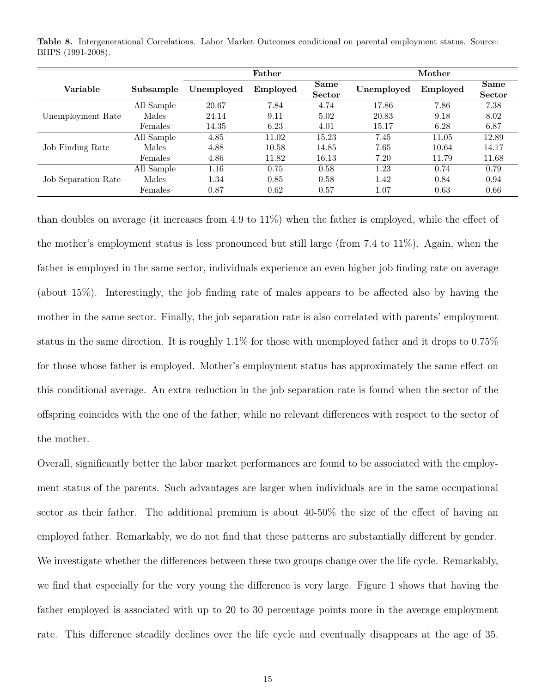|                     |            |            | Father   |                              |            | Mother   |                |
|---------------------|------------|------------|----------|------------------------------|------------|----------|----------------|
| Variable            | Subsample  | Unemployed | Employed | <b>Same</b><br><b>Sector</b> | Unemployed | Employed | Same<br>Sector |
|                     | All Sample | 20.67      | 7.84     | 4.74                         | 17.86      | 7.86     | 7.38           |
| Unemployment Rate   | Males      | 24.14      | 9.11     | 5.02                         | 20.83      | 9.18     | 8.02           |
|                     | Females    | 14.35      | 6.23     | 4.01                         | 15.17      | 6.28     | 6.87           |
|                     | All Sample | 4.85       | 11.02    | 15.23                        | 7.45       | 11.05    | 12.89          |
| Job Finding Rate    | Males      | 4.88       | 10.58    | 14.85                        | 7.65       | 10.64    | 14.17          |
|                     | Females    | 4.86       | 11.82    | 16.13                        | 7.20       | 11.79    | 11.68          |
| Job Separation Rate | All Sample | 1.16       | 0.75     | 0.58                         | 1.23       | 0.74     | 0.79           |
|                     | Males      | 1.34       | 0.85     | 0.58                         | 1.42       | 0.84     | 0.94           |
|                     | Females    | 0.87       | 0.62     | 0.57                         | $1.07\,$   | 0.63     | 0.66           |

Table 8. Intergenerational Correlations. Labor Market Outcomes conditional on parental employment status. Source: BHPS (1991-2008).

than doubles on average (it increases from 4.9 to 11%) when the father is employed, while the effect of the mother's employment status is less pronounced but still large (from 7.4 to 11%). Again, when the father is employed in the same sector, individuals experience an even higher job finding rate on average (about 15%). Interestingly, the job finding rate of males appears to be affected also by having the mother in the same sector. Finally, the job separation rate is also correlated with parents' employment status in the same direction. It is roughly 1.1% for those with unemployed father and it drops to 0.75% for those whose father is employed. Mother's employment status has approximately the same effect on this conditional average. An extra reduction in the job separation rate is found when the sector of the offspring coincides with the one of the father, while no relevant differences with respect to the sector of the mother.

Overall, significantly better the labor market performances are found to be associated with the employment status of the parents. Such advantages are larger when individuals are in the same occupational sector as their father. The additional premium is about 40-50% the size of the effect of having an employed father. Remarkably, we do not find that these patterns are substantially different by gender. We investigate whether the differences between these two groups change over the life cycle. Remarkably, we find that especially for the very young the difference is very large. Figure 1 shows that having the father employed is associated with up to 20 to 30 percentage points more in the average employment rate. This difference steadily declines over the life cycle and eventually disappears at the age of 35.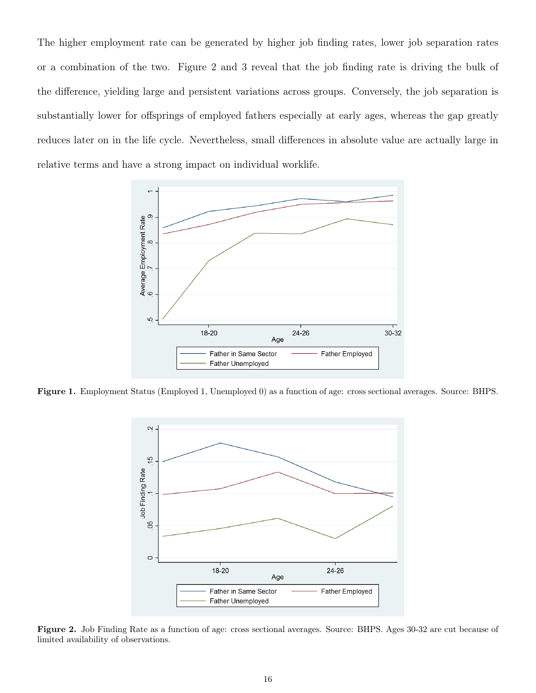The higher employment rate can be generated by higher job finding rates, lower job separation rates or a combination of the two. Figure 2 and 3 reveal that the job finding rate is driving the bulk of the difference, yielding large and persistent variations across groups. Conversely, the job separation is substantially lower for offsprings of employed fathers especially at early ages, whereas the gap greatly reduces later on in the life cycle. Nevertheless, small differences in absolute value are actually large in relative terms and have a strong impact on individual worklife.



Figure 1. Employment Status (Employed 1, Unemployed 0) as a function of age: cross sectional averages. Source: BHPS.



Figure 2. Job Finding Rate as a function of age: cross sectional averages. Source: BHPS. Ages 30-32 are cut because of limited availability of observations.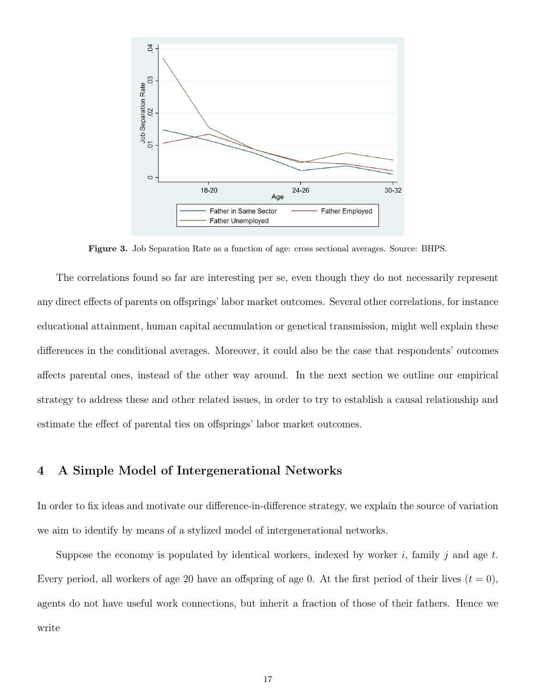

Figure 3. Job Separation Rate as a function of age: cross sectional averages. Source: BHPS.

The correlations found so far are interesting per se, even though they do not necessarily represent any direct effects of parents on offsprings' labor market outcomes. Several other correlations, for instance educational attainment, human capital accumulation or genetical transmission, might well explain these differences in the conditional averages. Moreover, it could also be the case that respondents' outcomes affects parental ones, instead of the other way around. In the next section we outline our empirical strategy to address these and other related issues, in order to try to establish a causal relationship and estimate the effect of parental ties on offsprings' labor market outcomes.

## 4 A Simple Model of Intergenerational Networks

In order to fix ideas and motivate our difference-in-difference strategy, we explain the source of variation we aim to identify by means of a stylized model of intergenerational networks.

Suppose the economy is populated by identical workers, indexed by worker i, family j and age t. Every period, all workers of age 20 have an offspring of age 0. At the first period of their lives  $(t = 0)$ , agents do not have useful work connections, but inherit a fraction of those of their fathers. Hence we write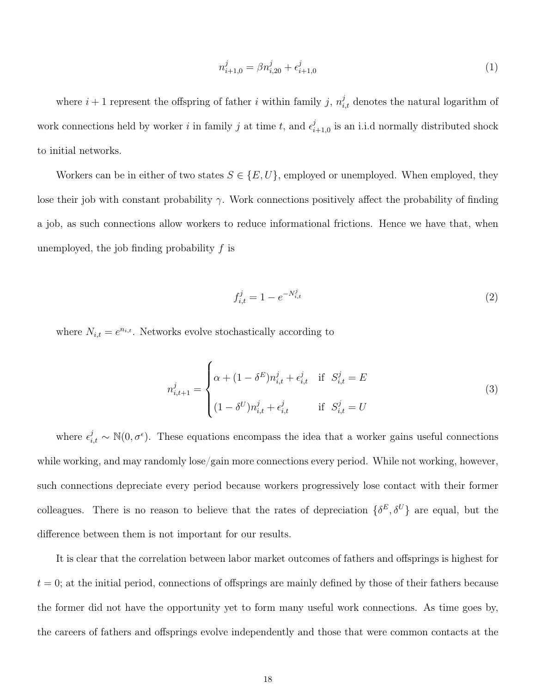$$
n_{i+1,0}^j = \beta n_{i,20}^j + \epsilon_{i+1,0}^j \tag{1}
$$

where  $i+1$  represent the offspring of father i within family j,  $n_{i,t}^j$  denotes the natural logarithm of work connections held by worker i in family j at time t, and  $\epsilon_i^j$  $\sum_{i=1,0}^{j}$  is an i.i.d normally distributed shock to initial networks.

Workers can be in either of two states  $S \in \{E, U\}$ , employed or unemployed. When employed, they lose their job with constant probability  $\gamma$ . Work connections positively affect the probability of finding a job, as such connections allow workers to reduce informational frictions. Hence we have that, when unemployed, the job finding probability  $f$  is

$$
f_{i,t}^j = 1 - e^{-N_{i,t}^j}
$$
 (2)

where  $N_{i,t} = e^{n_{i,t}}$ . Networks evolve stochastically according to

$$
n_{i,t+1}^{j} = \begin{cases} \alpha + (1 - \delta^{E})n_{i,t}^{j} + \epsilon_{i,t}^{j} & \text{if } S_{i,t}^{j} = E \\ (1 - \delta^{U})n_{i,t}^{j} + \epsilon_{i,t}^{j} & \text{if } S_{i,t}^{j} = U \end{cases}
$$
(3)

where  $\epsilon_{i,t}^{j} \sim \mathbb{N}(0, \sigma^{\epsilon})$ . These equations encompass the idea that a worker gains useful connections while working, and may randomly lose/gain more connections every period. While not working, however, such connections depreciate every period because workers progressively lose contact with their former colleagues. There is no reason to believe that the rates of depreciation  $\{\delta^E, \delta^U\}$  are equal, but the difference between them is not important for our results.

It is clear that the correlation between labor market outcomes of fathers and offsprings is highest for  $t = 0$ ; at the initial period, connections of offsprings are mainly defined by those of their fathers because the former did not have the opportunity yet to form many useful work connections. As time goes by, the careers of fathers and offsprings evolve independently and those that were common contacts at the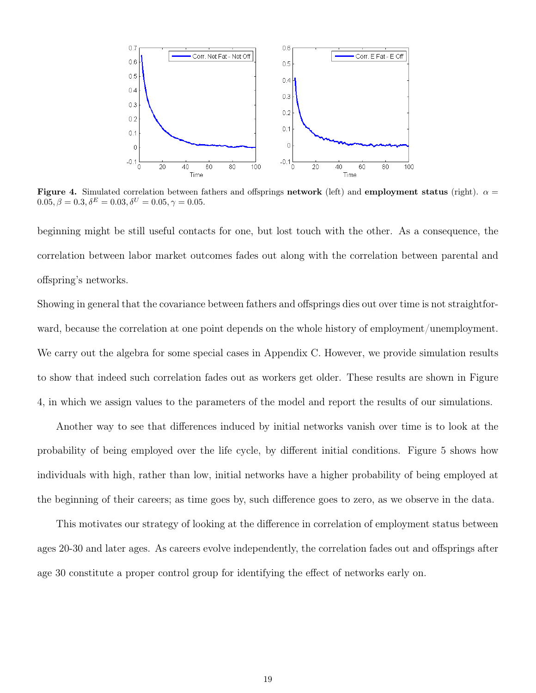

Figure 4. Simulated correlation between fathers and offsprings network (left) and employment status (right).  $\alpha =$  $0.05, \beta = 0.3, \delta^{E} = 0.03, \delta^{U} = 0.05, \gamma = 0.05.$ 

beginning might be still useful contacts for one, but lost touch with the other. As a consequence, the correlation between labor market outcomes fades out along with the correlation between parental and offspring's networks.

Showing in general that the covariance between fathers and offsprings dies out over time is not straightforward, because the correlation at one point depends on the whole history of employment/unemployment. We carry out the algebra for some special cases in Appendix C. However, we provide simulation results to show that indeed such correlation fades out as workers get older. These results are shown in Figure 4, in which we assign values to the parameters of the model and report the results of our simulations.

Another way to see that differences induced by initial networks vanish over time is to look at the probability of being employed over the life cycle, by different initial conditions. Figure 5 shows how individuals with high, rather than low, initial networks have a higher probability of being employed at the beginning of their careers; as time goes by, such difference goes to zero, as we observe in the data.

This motivates our strategy of looking at the difference in correlation of employment status between ages 20-30 and later ages. As careers evolve independently, the correlation fades out and offsprings after age 30 constitute a proper control group for identifying the effect of networks early on.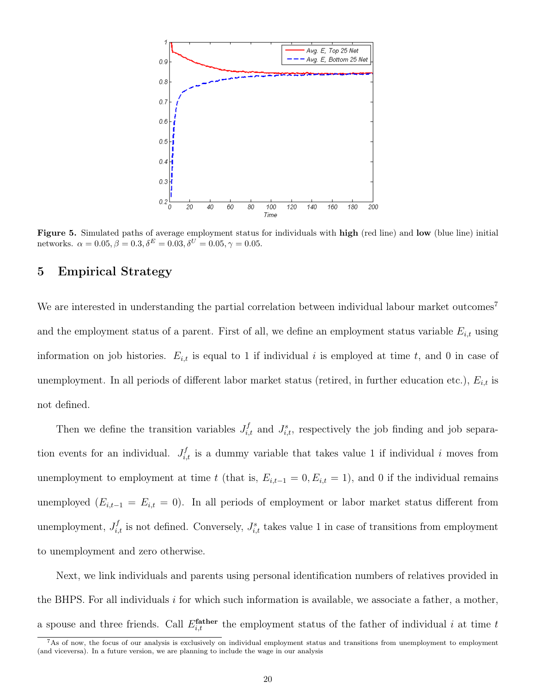

Figure 5. Simulated paths of average employment status for individuals with high (red line) and low (blue line) initial networks.  $\alpha = 0.05, \beta = 0.3, \delta^{E} = 0.03, \delta^{U} = 0.05, \gamma = 0.05.$ 

## 5 Empirical Strategy

We are interested in understanding the partial correlation between individual labour market outcomes<sup>7</sup> and the employment status of a parent. First of all, we define an employment status variable  $E_{i,t}$  using information on job histories.  $E_{i,t}$  is equal to 1 if individual i is employed at time t, and 0 in case of unemployment. In all periods of different labor market status (retired, in further education etc.),  $E_{i,t}$  is not defined.

Then we define the transition variables  $J_{i,t}^f$  and  $J_{i,t}^s$ , respectively the job finding and job separation events for an individual.  $J_{i,t}^f$  is a dummy variable that takes value 1 if individual i moves from unemployment to employment at time t (that is,  $E_{i,t-1} = 0, E_{i,t} = 1$ ), and 0 if the individual remains unemployed  $(E_{i,t-1} = E_{i,t} = 0)$ . In all periods of employment or labor market status different from unemployment,  $J_{i,t}^f$  is not defined. Conversely,  $J_{i,t}^s$  takes value 1 in case of transitions from employment to unemployment and zero otherwise.

Next, we link individuals and parents using personal identification numbers of relatives provided in the BHPS. For all individuals i for which such information is available, we associate a father, a mother, a spouse and three friends. Call  $E_{i,t}^{\text{father}}$  the employment status of the father of individual i at time t

 $^7$ As of now, the focus of our analysis is exclusively on individual employment status and transitions from unemployment to employment (and viceversa). In a future version, we are planning to include the wage in our analysis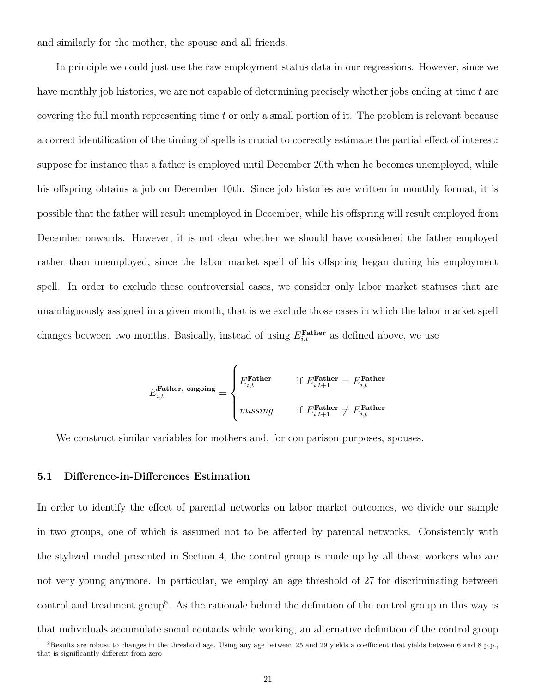and similarly for the mother, the spouse and all friends.

In principle we could just use the raw employment status data in our regressions. However, since we have monthly job histories, we are not capable of determining precisely whether jobs ending at time t are covering the full month representing time t or only a small portion of it. The problem is relevant because a correct identification of the timing of spells is crucial to correctly estimate the partial effect of interest: suppose for instance that a father is employed until December 20th when he becomes unemployed, while his offspring obtains a job on December 10th. Since job histories are written in monthly format, it is possible that the father will result unemployed in December, while his offspring will result employed from December onwards. However, it is not clear whether we should have considered the father employed rather than unemployed, since the labor market spell of his offspring began during his employment spell. In order to exclude these controversial cases, we consider only labor market statuses that are unambiguously assigned in a given month, that is we exclude those cases in which the labor market spell changes between two months. Basically, instead of using  $E_{i,t}^{\text{Father}}$  as defined above, we use

$$
E_{i,t}^{\text{Father, ongoing}} = \begin{cases} E_{i,t}^{\text{Father}} & \text{if } E_{i,t+1}^{\text{Father}} = E_{i,t}^{\text{Father}} \\ & \text{if } E_{i,t+1}^{\text{Father}} \neq E_{i,t}^{\text{Father}} \end{cases}
$$

We construct similar variables for mothers and, for comparison purposes, spouses.

### 5.1 Difference-in-Differences Estimation

In order to identify the effect of parental networks on labor market outcomes, we divide our sample in two groups, one of which is assumed not to be affected by parental networks. Consistently with the stylized model presented in Section 4, the control group is made up by all those workers who are not very young anymore. In particular, we employ an age threshold of 27 for discriminating between control and treatment group<sup>8</sup>. As the rationale behind the definition of the control group in this way is that individuals accumulate social contacts while working, an alternative definition of the control group

<sup>8</sup>Results are robust to changes in the threshold age. Using any age between 25 and 29 yields a coefficient that yields between 6 and 8 p.p., that is significantly different from zero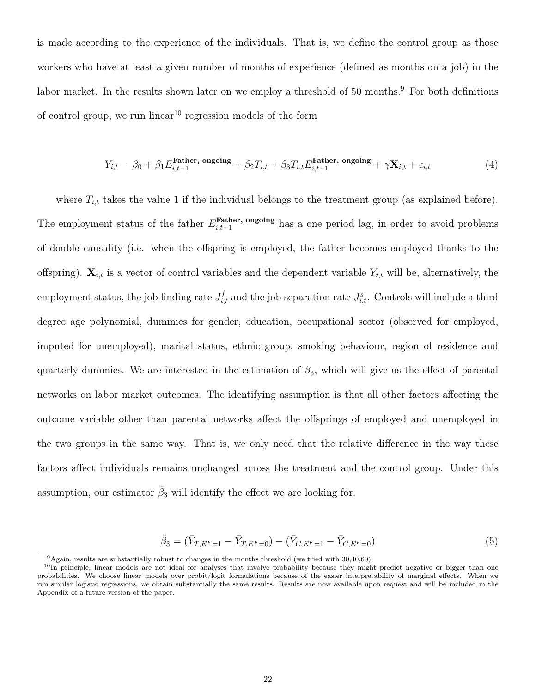is made according to the experience of the individuals. That is, we define the control group as those workers who have at least a given number of months of experience (defined as months on a job) in the labor market. In the results shown later on we employ a threshold of 50 months.<sup>9</sup> For both definitions of control group, we run linear  $10$  regression models of the form

$$
Y_{i,t} = \beta_0 + \beta_1 E_{i,t-1}^{\text{Father, ongoing}} + \beta_2 T_{i,t} + \beta_3 T_{i,t} E_{i,t-1}^{\text{Father, ongoing}} + \gamma \mathbf{X}_{i,t} + \epsilon_{i,t}
$$
(4)

where  $T_{i,t}$  takes the value 1 if the individual belongs to the treatment group (as explained before). The employment status of the father  $E_{i,t-1}^{\text{Father, ongoing}}$  has a one period lag, in order to avoid problems of double causality (i.e. when the offspring is employed, the father becomes employed thanks to the offspring).  $\mathbf{X}_{i,t}$  is a vector of control variables and the dependent variable  $Y_{i,t}$  will be, alternatively, the employment status, the job finding rate  $J_{i,t}^f$  and the job separation rate  $J_{i,t}^s$ . Controls will include a third degree age polynomial, dummies for gender, education, occupational sector (observed for employed, imputed for unemployed), marital status, ethnic group, smoking behaviour, region of residence and quarterly dummies. We are interested in the estimation of  $\beta_3$ , which will give us the effect of parental networks on labor market outcomes. The identifying assumption is that all other factors affecting the outcome variable other than parental networks affect the offsprings of employed and unemployed in the two groups in the same way. That is, we only need that the relative difference in the way these factors affect individuals remains unchanged across the treatment and the control group. Under this assumption, our estimator  $\hat{\beta}_3$  will identify the effect we are looking for.

$$
\hat{\beta}_3 = (\bar{Y}_{T,E^F=1} - \bar{Y}_{T,E^F=0}) - (\bar{Y}_{C,E^F=1} - \bar{Y}_{C,E^F=0})
$$
\n(5)

 $9$ Again, results are substantially robust to changes in the months threshold (we tried with 30,40,60).

 $10$ In principle, linear models are not ideal for analyses that involve probability because they might predict negative or bigger than one probabilities. We choose linear models over probit/logit formulations because of the easier interpretability of marginal effects. When we run similar logistic regressions, we obtain substantially the same results. Results are now available upon request and will be included in the Appendix of a future version of the paper.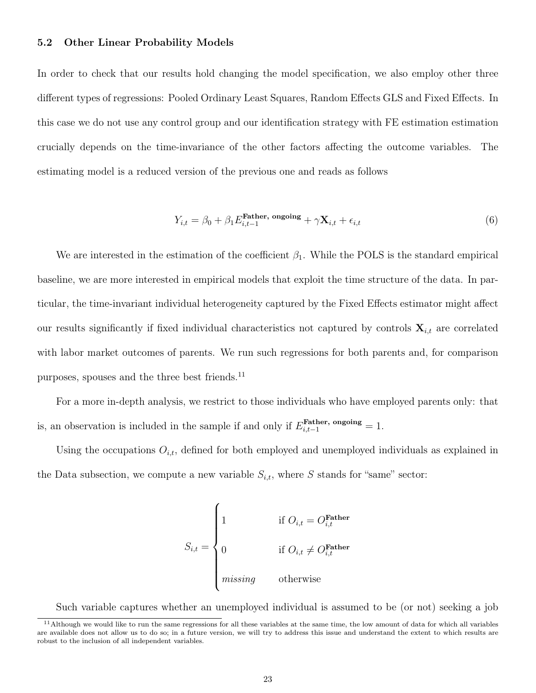### 5.2 Other Linear Probability Models

In order to check that our results hold changing the model specification, we also employ other three different types of regressions: Pooled Ordinary Least Squares, Random Effects GLS and Fixed Effects. In this case we do not use any control group and our identification strategy with FE estimation estimation crucially depends on the time-invariance of the other factors affecting the outcome variables. The estimating model is a reduced version of the previous one and reads as follows

$$
Y_{i,t} = \beta_0 + \beta_1 E_{i,t-1}^{\text{Father, ongoing}} + \gamma \mathbf{X}_{i,t} + \epsilon_{i,t}
$$
\n
$$
\tag{6}
$$

We are interested in the estimation of the coefficient  $\beta_1$ . While the POLS is the standard empirical baseline, we are more interested in empirical models that exploit the time structure of the data. In particular, the time-invariant individual heterogeneity captured by the Fixed Effects estimator might affect our results significantly if fixed individual characteristics not captured by controls  $\mathbf{X}_{i,t}$  are correlated with labor market outcomes of parents. We run such regressions for both parents and, for comparison purposes, spouses and the three best friends.<sup>11</sup>

For a more in-depth analysis, we restrict to those individuals who have employed parents only: that is, an observation is included in the sample if and only if  $E_{i,t-1}^{\text{Father, ongoing}} = 1$ .

Using the occupations  $O_{i,t}$ , defined for both employed and unemployed individuals as explained in the Data subsection, we compute a new variable  $S_{i,t}$ , where S stands for "same" sector:

$$
S_{i,t} = \begin{cases} 1 & \text{if } O_{i,t} = O_{i,t}^{\text{Father}} \\ 0 & \text{if } O_{i,t} \neq O_{i,t}^{\text{Father}} \\ \text{missing} & \text{otherwise} \end{cases}
$$

Such variable captures whether an unemployed individual is assumed to be (or not) seeking a job

 $11$  Although we would like to run the same regressions for all these variables at the same time, the low amount of data for which all variables are available does not allow us to do so; in a future version, we will try to address this issue and understand the extent to which results are robust to the inclusion of all independent variables.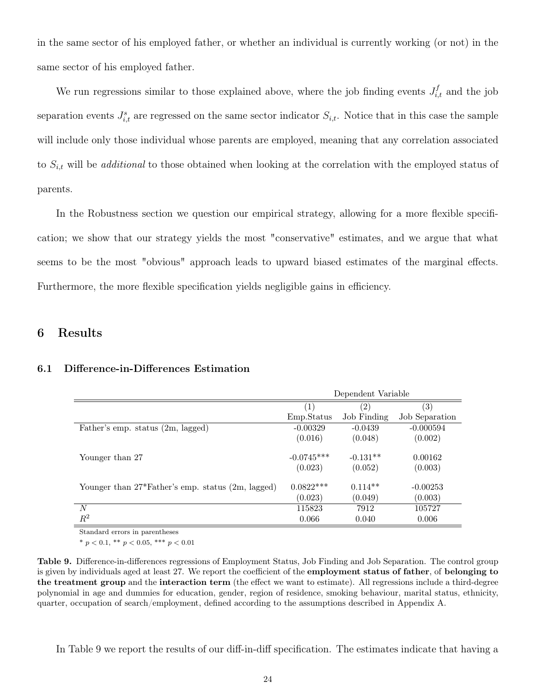in the same sector of his employed father, or whether an individual is currently working (or not) in the same sector of his employed father.

We run regressions similar to those explained above, where the job finding events  $J_{i,t}^f$  and the job separation events  $J_{i,t}^s$  are regressed on the same sector indicator  $S_{i,t}$ . Notice that in this case the sample will include only those individual whose parents are employed, meaning that any correlation associated to  $S_{i,t}$  will be *additional* to those obtained when looking at the correlation with the employed status of parents.

In the Robustness section we question our empirical strategy, allowing for a more flexible specification; we show that our strategy yields the most "conservative" estimates, and we argue that what seems to be the most "obvious" approach leads to upward biased estimates of the marginal effects. Furthermore, the more flexible specification yields negligible gains in efficiency.

## 6 Results

#### 6.1 Difference-in-Differences Estimation

|                                                   |                   | Dependent Variable |                   |
|---------------------------------------------------|-------------------|--------------------|-------------------|
|                                                   | $\left( 1\right)$ | $\left( 2\right)$  | $\left( 3\right)$ |
|                                                   | Emp.Status        | Job Finding        | Job Separation    |
| Father's emp. status (2m, lagged)                 | $-0.00329$        | $-0.0439$          | $-0.000594$       |
|                                                   | (0.016)           | (0.048)            | (0.002)           |
| Younger than 27                                   | $-0.0745***$      | $-0.131**$         | 0.00162           |
|                                                   | (0.023)           | (0.052)            | (0.003)           |
| Younger than 27*Father's emp. status (2m, lagged) | $0.0822***$       | $0.114**$          | $-0.00253$        |
|                                                   | (0.023)           | (0.049)            | (0.003)           |
| N                                                 | 115823            | 7912               | 105727            |
| $R^2$                                             | 0.066             | 0.040              | 0.006             |

Standard errors in parentheses

\*  $p < 0.1$ , \*\*  $p < 0.05$ , \*\*\*  $p < 0.01$ 

Table 9. Difference-in-differences regressions of Employment Status, Job Finding and Job Separation. The control group is given by individuals aged at least 27. We report the coefficient of the employment status of father, of belonging to the treatment group and the interaction term (the effect we want to estimate). All regressions include a third-degree polynomial in age and dummies for education, gender, region of residence, smoking behaviour, marital status, ethnicity, quarter, occupation of search/employment, defined according to the assumptions described in Appendix A.

In Table 9 we report the results of our diff-in-diff specification. The estimates indicate that having a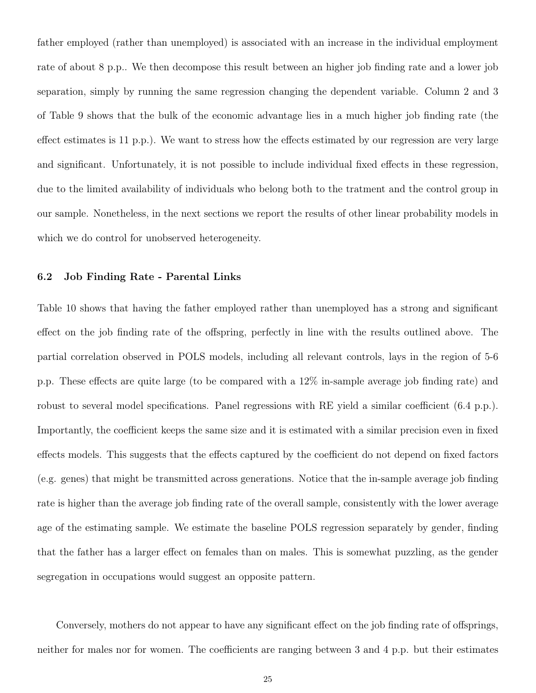father employed (rather than unemployed) is associated with an increase in the individual employment rate of about 8 p.p.. We then decompose this result between an higher job finding rate and a lower job separation, simply by running the same regression changing the dependent variable. Column 2 and 3 of Table 9 shows that the bulk of the economic advantage lies in a much higher job finding rate (the effect estimates is 11 p.p.). We want to stress how the effects estimated by our regression are very large and significant. Unfortunately, it is not possible to include individual fixed effects in these regression, due to the limited availability of individuals who belong both to the tratment and the control group in our sample. Nonetheless, in the next sections we report the results of other linear probability models in which we do control for unobserved heterogeneity.

### 6.2 Job Finding Rate - Parental Links

Table 10 shows that having the father employed rather than unemployed has a strong and significant effect on the job finding rate of the offspring, perfectly in line with the results outlined above. The partial correlation observed in POLS models, including all relevant controls, lays in the region of 5-6 p.p. These effects are quite large (to be compared with a 12% in-sample average job finding rate) and robust to several model specifications. Panel regressions with RE yield a similar coefficient (6.4 p.p.). Importantly, the coefficient keeps the same size and it is estimated with a similar precision even in fixed effects models. This suggests that the effects captured by the coefficient do not depend on fixed factors (e.g. genes) that might be transmitted across generations. Notice that the in-sample average job finding rate is higher than the average job finding rate of the overall sample, consistently with the lower average age of the estimating sample. We estimate the baseline POLS regression separately by gender, finding that the father has a larger effect on females than on males. This is somewhat puzzling, as the gender segregation in occupations would suggest an opposite pattern.

Conversely, mothers do not appear to have any significant effect on the job finding rate of offsprings, neither for males nor for women. The coefficients are ranging between 3 and 4 p.p. but their estimates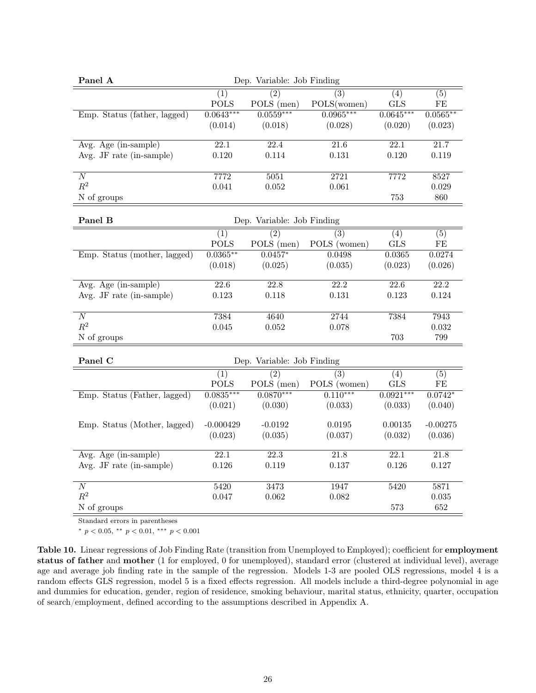| (1)<br>(2)<br>(4)<br>(5)<br>(3)<br><b>POLS</b><br>POLS (men)<br>POLS(women)<br><b>GLS</b><br>$\rm FE$<br>$0.0559***$<br>$0.0965***$<br>Emp. Status (father, lagged)<br>$0.0643***$<br>$0.0645***$<br>$0.0565***$<br>(0.018)<br>(0.028)<br>(0.014)<br>(0.020)<br>(0.023)<br>Avg. Age (in-sample)<br>$\overline{22.1}$<br>22.4<br>$\overline{21.6}$<br>$\overline{22.1}$<br>$\overline{21.7}$<br>Avg. JF rate $(in\text{-sample})$<br>0.120<br>0.114<br>0.131<br>0.120<br>0.119<br>7772<br>$\overline{N}$<br>7772<br>5051<br>2721<br>8527<br>$\mathbb{R}^2$<br>0.052<br>0.029<br>0.041<br>0.061<br>N of groups<br>753<br>860<br>Panel B<br>Dep. Variable: Job Finding<br>$\overline{(5)}$<br>(1)<br>(2)<br>(3)<br>(4)<br>POLS (men)<br>POLS (women)<br><b>POLS</b><br><b>GLS</b><br>FE<br>$0.0365***$<br>Emp. Status (mother, lagged)<br>$0.0457*$<br>0.0498<br>0.0365<br>0.0274<br>(0.035)<br>(0.018)<br>(0.025)<br>(0.023)<br>(0.026)<br>$\overline{22.2}$<br>$\overline{Avg. Age (in-sample)}$<br>$\overline{22.6}$<br>$\overline{22.8}$<br>$\overline{22.2}$<br>$\overline{22.6}$<br>Avg. JF rate (in-sample)<br>0.123<br>0.131<br>0.123<br>0.124<br>0.118<br>$\overline{N}$<br>7384<br>4640<br>7384<br>7943<br>2744<br>$R^2$<br>0.032<br>0.045<br>0.052<br>0.078<br>703<br>799<br>N of groups<br>Panel C<br>Dep. Variable: Job Finding<br>$\overline{(2)}$<br>$\overline{(3)}$<br>(1)<br>(4)<br>(5)<br>POLS (men)<br>POLS (women)<br><b>POLS</b><br><b>GLS</b><br>FE<br>$0.0870***$<br>$0.110***$<br>$0.0835***$<br>$0.0921***$<br>Emp. Status (Father, lagged)<br>$0.0742*$<br>(0.021)<br>(0.030)<br>(0.033)<br>(0.033)<br>(0.040)<br>Emp. Status (Mother, lagged)<br>$-0.000429$<br>$-0.0192$<br>0.0195<br>0.00135<br>$-0.00275$<br>(0.023)<br>(0.035)<br>(0.032)<br>(0.036)<br>(0.037)<br>Avg. Age (in-sample)<br>$\overline{22.1}$<br>$\overline{21.8}$<br>22.1<br>22.3<br>21.8<br>Avg. JF rate (in-sample)<br>0.126<br>0.126<br>0.127<br>0.119<br>0.137<br>$\overline{N}$<br>5420<br>3473<br>1947<br>5420<br>5871 | Panel A |       | Dep. Variable: Job Finding |       |       |
|---------------------------------------------------------------------------------------------------------------------------------------------------------------------------------------------------------------------------------------------------------------------------------------------------------------------------------------------------------------------------------------------------------------------------------------------------------------------------------------------------------------------------------------------------------------------------------------------------------------------------------------------------------------------------------------------------------------------------------------------------------------------------------------------------------------------------------------------------------------------------------------------------------------------------------------------------------------------------------------------------------------------------------------------------------------------------------------------------------------------------------------------------------------------------------------------------------------------------------------------------------------------------------------------------------------------------------------------------------------------------------------------------------------------------------------------------------------------------------------------------------------------------------------------------------------------------------------------------------------------------------------------------------------------------------------------------------------------------------------------------------------------------------------------------------------------------------------------------------------------------------------------------------------------------------------------------------------------------------------------------------------------------|---------|-------|----------------------------|-------|-------|
|                                                                                                                                                                                                                                                                                                                                                                                                                                                                                                                                                                                                                                                                                                                                                                                                                                                                                                                                                                                                                                                                                                                                                                                                                                                                                                                                                                                                                                                                                                                                                                                                                                                                                                                                                                                                                                                                                                                                                                                                                           |         |       |                            |       |       |
|                                                                                                                                                                                                                                                                                                                                                                                                                                                                                                                                                                                                                                                                                                                                                                                                                                                                                                                                                                                                                                                                                                                                                                                                                                                                                                                                                                                                                                                                                                                                                                                                                                                                                                                                                                                                                                                                                                                                                                                                                           |         |       |                            |       |       |
|                                                                                                                                                                                                                                                                                                                                                                                                                                                                                                                                                                                                                                                                                                                                                                                                                                                                                                                                                                                                                                                                                                                                                                                                                                                                                                                                                                                                                                                                                                                                                                                                                                                                                                                                                                                                                                                                                                                                                                                                                           |         |       |                            |       |       |
|                                                                                                                                                                                                                                                                                                                                                                                                                                                                                                                                                                                                                                                                                                                                                                                                                                                                                                                                                                                                                                                                                                                                                                                                                                                                                                                                                                                                                                                                                                                                                                                                                                                                                                                                                                                                                                                                                                                                                                                                                           |         |       |                            |       |       |
|                                                                                                                                                                                                                                                                                                                                                                                                                                                                                                                                                                                                                                                                                                                                                                                                                                                                                                                                                                                                                                                                                                                                                                                                                                                                                                                                                                                                                                                                                                                                                                                                                                                                                                                                                                                                                                                                                                                                                                                                                           |         |       |                            |       |       |
|                                                                                                                                                                                                                                                                                                                                                                                                                                                                                                                                                                                                                                                                                                                                                                                                                                                                                                                                                                                                                                                                                                                                                                                                                                                                                                                                                                                                                                                                                                                                                                                                                                                                                                                                                                                                                                                                                                                                                                                                                           |         |       |                            |       |       |
|                                                                                                                                                                                                                                                                                                                                                                                                                                                                                                                                                                                                                                                                                                                                                                                                                                                                                                                                                                                                                                                                                                                                                                                                                                                                                                                                                                                                                                                                                                                                                                                                                                                                                                                                                                                                                                                                                                                                                                                                                           |         |       |                            |       |       |
|                                                                                                                                                                                                                                                                                                                                                                                                                                                                                                                                                                                                                                                                                                                                                                                                                                                                                                                                                                                                                                                                                                                                                                                                                                                                                                                                                                                                                                                                                                                                                                                                                                                                                                                                                                                                                                                                                                                                                                                                                           |         |       |                            |       |       |
|                                                                                                                                                                                                                                                                                                                                                                                                                                                                                                                                                                                                                                                                                                                                                                                                                                                                                                                                                                                                                                                                                                                                                                                                                                                                                                                                                                                                                                                                                                                                                                                                                                                                                                                                                                                                                                                                                                                                                                                                                           |         |       |                            |       |       |
|                                                                                                                                                                                                                                                                                                                                                                                                                                                                                                                                                                                                                                                                                                                                                                                                                                                                                                                                                                                                                                                                                                                                                                                                                                                                                                                                                                                                                                                                                                                                                                                                                                                                                                                                                                                                                                                                                                                                                                                                                           |         |       |                            |       |       |
|                                                                                                                                                                                                                                                                                                                                                                                                                                                                                                                                                                                                                                                                                                                                                                                                                                                                                                                                                                                                                                                                                                                                                                                                                                                                                                                                                                                                                                                                                                                                                                                                                                                                                                                                                                                                                                                                                                                                                                                                                           |         |       |                            |       |       |
|                                                                                                                                                                                                                                                                                                                                                                                                                                                                                                                                                                                                                                                                                                                                                                                                                                                                                                                                                                                                                                                                                                                                                                                                                                                                                                                                                                                                                                                                                                                                                                                                                                                                                                                                                                                                                                                                                                                                                                                                                           |         |       |                            |       |       |
|                                                                                                                                                                                                                                                                                                                                                                                                                                                                                                                                                                                                                                                                                                                                                                                                                                                                                                                                                                                                                                                                                                                                                                                                                                                                                                                                                                                                                                                                                                                                                                                                                                                                                                                                                                                                                                                                                                                                                                                                                           |         |       |                            |       |       |
|                                                                                                                                                                                                                                                                                                                                                                                                                                                                                                                                                                                                                                                                                                                                                                                                                                                                                                                                                                                                                                                                                                                                                                                                                                                                                                                                                                                                                                                                                                                                                                                                                                                                                                                                                                                                                                                                                                                                                                                                                           |         |       |                            |       |       |
|                                                                                                                                                                                                                                                                                                                                                                                                                                                                                                                                                                                                                                                                                                                                                                                                                                                                                                                                                                                                                                                                                                                                                                                                                                                                                                                                                                                                                                                                                                                                                                                                                                                                                                                                                                                                                                                                                                                                                                                                                           |         |       |                            |       |       |
|                                                                                                                                                                                                                                                                                                                                                                                                                                                                                                                                                                                                                                                                                                                                                                                                                                                                                                                                                                                                                                                                                                                                                                                                                                                                                                                                                                                                                                                                                                                                                                                                                                                                                                                                                                                                                                                                                                                                                                                                                           |         |       |                            |       |       |
|                                                                                                                                                                                                                                                                                                                                                                                                                                                                                                                                                                                                                                                                                                                                                                                                                                                                                                                                                                                                                                                                                                                                                                                                                                                                                                                                                                                                                                                                                                                                                                                                                                                                                                                                                                                                                                                                                                                                                                                                                           |         |       |                            |       |       |
|                                                                                                                                                                                                                                                                                                                                                                                                                                                                                                                                                                                                                                                                                                                                                                                                                                                                                                                                                                                                                                                                                                                                                                                                                                                                                                                                                                                                                                                                                                                                                                                                                                                                                                                                                                                                                                                                                                                                                                                                                           |         |       |                            |       |       |
|                                                                                                                                                                                                                                                                                                                                                                                                                                                                                                                                                                                                                                                                                                                                                                                                                                                                                                                                                                                                                                                                                                                                                                                                                                                                                                                                                                                                                                                                                                                                                                                                                                                                                                                                                                                                                                                                                                                                                                                                                           |         |       |                            |       |       |
|                                                                                                                                                                                                                                                                                                                                                                                                                                                                                                                                                                                                                                                                                                                                                                                                                                                                                                                                                                                                                                                                                                                                                                                                                                                                                                                                                                                                                                                                                                                                                                                                                                                                                                                                                                                                                                                                                                                                                                                                                           |         |       |                            |       |       |
|                                                                                                                                                                                                                                                                                                                                                                                                                                                                                                                                                                                                                                                                                                                                                                                                                                                                                                                                                                                                                                                                                                                                                                                                                                                                                                                                                                                                                                                                                                                                                                                                                                                                                                                                                                                                                                                                                                                                                                                                                           |         |       |                            |       |       |
|                                                                                                                                                                                                                                                                                                                                                                                                                                                                                                                                                                                                                                                                                                                                                                                                                                                                                                                                                                                                                                                                                                                                                                                                                                                                                                                                                                                                                                                                                                                                                                                                                                                                                                                                                                                                                                                                                                                                                                                                                           |         |       |                            |       |       |
|                                                                                                                                                                                                                                                                                                                                                                                                                                                                                                                                                                                                                                                                                                                                                                                                                                                                                                                                                                                                                                                                                                                                                                                                                                                                                                                                                                                                                                                                                                                                                                                                                                                                                                                                                                                                                                                                                                                                                                                                                           |         |       |                            |       |       |
|                                                                                                                                                                                                                                                                                                                                                                                                                                                                                                                                                                                                                                                                                                                                                                                                                                                                                                                                                                                                                                                                                                                                                                                                                                                                                                                                                                                                                                                                                                                                                                                                                                                                                                                                                                                                                                                                                                                                                                                                                           |         |       |                            |       |       |
|                                                                                                                                                                                                                                                                                                                                                                                                                                                                                                                                                                                                                                                                                                                                                                                                                                                                                                                                                                                                                                                                                                                                                                                                                                                                                                                                                                                                                                                                                                                                                                                                                                                                                                                                                                                                                                                                                                                                                                                                                           |         |       |                            |       |       |
|                                                                                                                                                                                                                                                                                                                                                                                                                                                                                                                                                                                                                                                                                                                                                                                                                                                                                                                                                                                                                                                                                                                                                                                                                                                                                                                                                                                                                                                                                                                                                                                                                                                                                                                                                                                                                                                                                                                                                                                                                           |         |       |                            |       |       |
|                                                                                                                                                                                                                                                                                                                                                                                                                                                                                                                                                                                                                                                                                                                                                                                                                                                                                                                                                                                                                                                                                                                                                                                                                                                                                                                                                                                                                                                                                                                                                                                                                                                                                                                                                                                                                                                                                                                                                                                                                           |         |       |                            |       |       |
|                                                                                                                                                                                                                                                                                                                                                                                                                                                                                                                                                                                                                                                                                                                                                                                                                                                                                                                                                                                                                                                                                                                                                                                                                                                                                                                                                                                                                                                                                                                                                                                                                                                                                                                                                                                                                                                                                                                                                                                                                           |         |       |                            |       |       |
|                                                                                                                                                                                                                                                                                                                                                                                                                                                                                                                                                                                                                                                                                                                                                                                                                                                                                                                                                                                                                                                                                                                                                                                                                                                                                                                                                                                                                                                                                                                                                                                                                                                                                                                                                                                                                                                                                                                                                                                                                           |         |       |                            |       |       |
|                                                                                                                                                                                                                                                                                                                                                                                                                                                                                                                                                                                                                                                                                                                                                                                                                                                                                                                                                                                                                                                                                                                                                                                                                                                                                                                                                                                                                                                                                                                                                                                                                                                                                                                                                                                                                                                                                                                                                                                                                           |         |       |                            |       |       |
|                                                                                                                                                                                                                                                                                                                                                                                                                                                                                                                                                                                                                                                                                                                                                                                                                                                                                                                                                                                                                                                                                                                                                                                                                                                                                                                                                                                                                                                                                                                                                                                                                                                                                                                                                                                                                                                                                                                                                                                                                           |         |       |                            |       |       |
|                                                                                                                                                                                                                                                                                                                                                                                                                                                                                                                                                                                                                                                                                                                                                                                                                                                                                                                                                                                                                                                                                                                                                                                                                                                                                                                                                                                                                                                                                                                                                                                                                                                                                                                                                                                                                                                                                                                                                                                                                           |         |       |                            |       |       |
|                                                                                                                                                                                                                                                                                                                                                                                                                                                                                                                                                                                                                                                                                                                                                                                                                                                                                                                                                                                                                                                                                                                                                                                                                                                                                                                                                                                                                                                                                                                                                                                                                                                                                                                                                                                                                                                                                                                                                                                                                           | $R^2$   | 0.047 | $\,0.062\,$                | 0.082 | 0.035 |
| 573<br>652<br>N of groups                                                                                                                                                                                                                                                                                                                                                                                                                                                                                                                                                                                                                                                                                                                                                                                                                                                                                                                                                                                                                                                                                                                                                                                                                                                                                                                                                                                                                                                                                                                                                                                                                                                                                                                                                                                                                                                                                                                                                                                                 |         |       |                            |       |       |

Standard errors in parentheses

\*  $p < 0.05$ , \*\*  $p < 0.01$ , \*\*\*  $p < 0.001$ 

Table 10. Linear regressions of Job Finding Rate (transition from Unemployed to Employed); coefficient for employment status of father and mother (1 for employed, 0 for unemployed), standard error (clustered at individual level), average age and average job finding rate in the sample of the regression. Models 1-3 are pooled OLS regressions, model 4 is a random effects GLS regression, model 5 is a fixed effects regression. All models include a third-degree polynomial in age and dummies for education, gender, region of residence, smoking behaviour, marital status, ethnicity, quarter, occupation of search/employment, defined according to the assumptions described in Appendix A.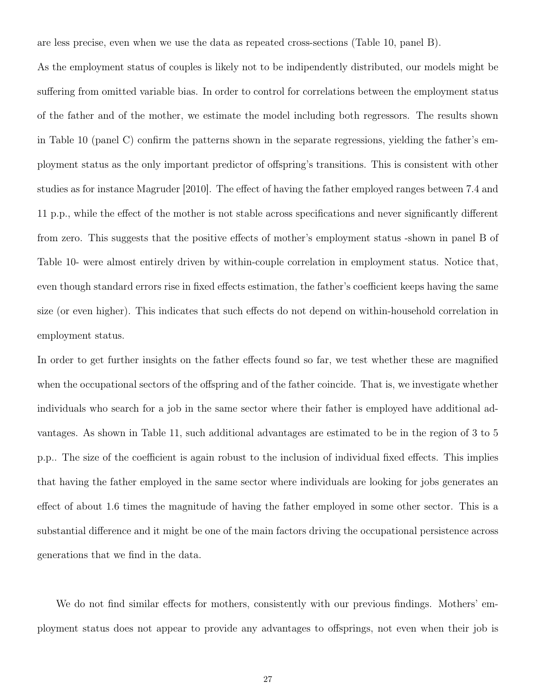are less precise, even when we use the data as repeated cross-sections (Table 10, panel B).

As the employment status of couples is likely not to be indipendently distributed, our models might be suffering from omitted variable bias. In order to control for correlations between the employment status of the father and of the mother, we estimate the model including both regressors. The results shown in Table 10 (panel C) confirm the patterns shown in the separate regressions, yielding the father's employment status as the only important predictor of offspring's transitions. This is consistent with other studies as for instance Magruder [2010]. The effect of having the father employed ranges between 7.4 and 11 p.p., while the effect of the mother is not stable across specifications and never significantly different from zero. This suggests that the positive effects of mother's employment status -shown in panel B of Table 10- were almost entirely driven by within-couple correlation in employment status. Notice that, even though standard errors rise in fixed effects estimation, the father's coefficient keeps having the same size (or even higher). This indicates that such effects do not depend on within-household correlation in employment status.

In order to get further insights on the father effects found so far, we test whether these are magnified when the occupational sectors of the offspring and of the father coincide. That is, we investigate whether individuals who search for a job in the same sector where their father is employed have additional advantages. As shown in Table 11, such additional advantages are estimated to be in the region of 3 to 5 p.p.. The size of the coefficient is again robust to the inclusion of individual fixed effects. This implies that having the father employed in the same sector where individuals are looking for jobs generates an effect of about 1.6 times the magnitude of having the father employed in some other sector. This is a substantial difference and it might be one of the main factors driving the occupational persistence across generations that we find in the data.

We do not find similar effects for mothers, consistently with our previous findings. Mothers' employment status does not appear to provide any advantages to offsprings, not even when their job is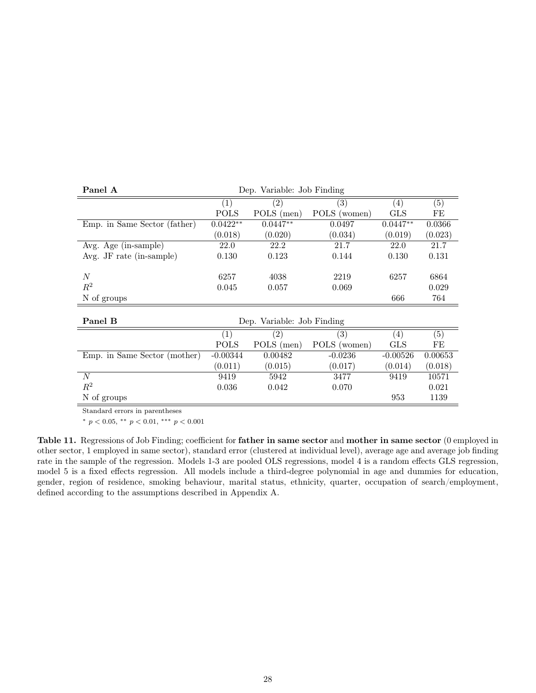| Panel A                      | Dep. Variable: Job Finding |                            |                   |                   |         |  |
|------------------------------|----------------------------|----------------------------|-------------------|-------------------|---------|--|
|                              | $\left( 1\right)$          | $\left( 2\right)$          | $\left( 3\right)$ | (4)               | (5)     |  |
|                              | <b>POLS</b>                | POLS (men)                 | POLS (women)      | <b>GLS</b>        | FE      |  |
| Emp. in Same Sector (father) | $0.0422**$                 | $0.0447**$                 | 0.0497            | $0.0447**$        | 0.0366  |  |
|                              | (0.018)                    | (0.020)                    | (0.034)           | (0.019)           | (0.023) |  |
| Avg. Age (in-sample)         | 22.0                       | 22.2                       | 21.7              | 22.0              | 21.7    |  |
| Avg. JF rate (in-sample)     | 0.130                      | 0.123                      | 0.144             | 0.130             | 0.131   |  |
|                              |                            |                            |                   |                   |         |  |
| N                            | 6257                       | 4038                       | 2219              | 6257              | 6864    |  |
| $R^2$                        | 0.045                      | 0.057                      | 0.069             |                   | 0.029   |  |
| N of groups                  |                            |                            |                   | 666               | 764     |  |
|                              |                            |                            |                   |                   |         |  |
| Panel B                      |                            | Dep. Variable: Job Finding |                   |                   |         |  |
|                              | $\left( 1\right)$          | $\mathbf{^{\prime}2}$      | $\left( 3\right)$ | $\left( 4\right)$ | (5)     |  |
|                              | <b>POLS</b>                | POLS (men)                 | POLS (women)      | <b>GLS</b>        | FE      |  |
| Emp. in Same Sector (mother) | $-0.00344$                 | 0.00482                    | $-0.0236$         | $-0.00526$        | 0.00653 |  |
|                              | (0.011)                    | (0.015)                    | (0.017)           | (0.014)           | (0.018) |  |
| N                            | 9419                       | 5942                       | 3477              | 9419              | 10571   |  |
| $R^2$                        | 0.036                      | 0.042                      | 0.070             |                   | 0.021   |  |
| N of groups                  |                            |                            |                   | 953               | 1139    |  |

Standard errors in parentheses

\*  $p < 0.05$ , \*\*  $p < 0.01$ , \*\*\*  $p < 0.001$ 

Table 11. Regressions of Job Finding; coefficient for father in same sector and mother in same sector (0 employed in other sector, 1 employed in same sector), standard error (clustered at individual level), average age and average job finding rate in the sample of the regression. Models 1-3 are pooled OLS regressions, model 4 is a random effects GLS regression, model 5 is a fixed effects regression. All models include a third-degree polynomial in age and dummies for education, gender, region of residence, smoking behaviour, marital status, ethnicity, quarter, occupation of search/employment, defined according to the assumptions described in Appendix A.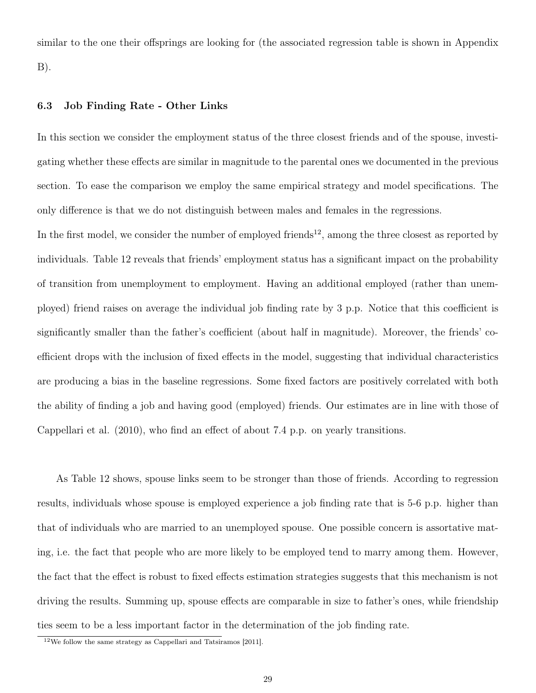similar to the one their offsprings are looking for (the associated regression table is shown in Appendix B).

### 6.3 Job Finding Rate - Other Links

In this section we consider the employment status of the three closest friends and of the spouse, investigating whether these effects are similar in magnitude to the parental ones we documented in the previous section. To ease the comparison we employ the same empirical strategy and model specifications. The only difference is that we do not distinguish between males and females in the regressions.

In the first model, we consider the number of employed friends<sup>12</sup>, among the three closest as reported by individuals. Table 12 reveals that friends' employment status has a significant impact on the probability of transition from unemployment to employment. Having an additional employed (rather than unemployed) friend raises on average the individual job finding rate by 3 p.p. Notice that this coefficient is significantly smaller than the father's coefficient (about half in magnitude). Moreover, the friends' coefficient drops with the inclusion of fixed effects in the model, suggesting that individual characteristics are producing a bias in the baseline regressions. Some fixed factors are positively correlated with both the ability of finding a job and having good (employed) friends. Our estimates are in line with those of Cappellari et al. (2010), who find an effect of about 7.4 p.p. on yearly transitions.

As Table 12 shows, spouse links seem to be stronger than those of friends. According to regression results, individuals whose spouse is employed experience a job finding rate that is 5-6 p.p. higher than that of individuals who are married to an unemployed spouse. One possible concern is assortative mating, i.e. the fact that people who are more likely to be employed tend to marry among them. However, the fact that the effect is robust to fixed effects estimation strategies suggests that this mechanism is not driving the results. Summing up, spouse effects are comparable in size to father's ones, while friendship ties seem to be a less important factor in the determination of the job finding rate.

 $^{12}$  We follow the same strategy as Cappellari and Tatsiramos [2011].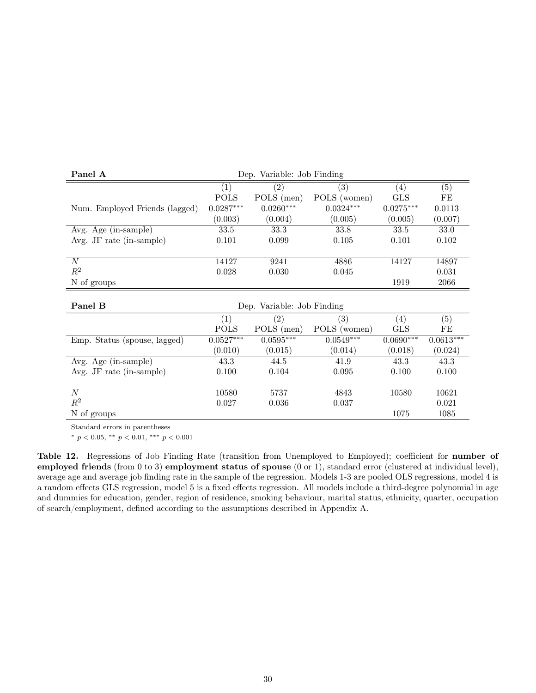| Panel A                           | Dep. Variable: Job Finding |                            |                   |                   |             |  |
|-----------------------------------|----------------------------|----------------------------|-------------------|-------------------|-------------|--|
|                                   | $\left( 1\right)$          | $\left( 2\right)$          | $\left( 4\right)$ | (5)               |             |  |
|                                   | <b>POLS</b>                | POLS (men)                 | POLS (women)      | <b>GLS</b>        | FE          |  |
| Num. Employed Friends (lagged)    | $0.0287***$                | $0.0260***$                | $0.0324***$       | $0.0275***$       | 0.0113      |  |
|                                   | (0.003)                    | (0.004)                    | (0.005)           | (0.005)           | (0.007)     |  |
| Avg. Age (in-sample)              | 33.5                       | 33.3                       | 33.8              | 33.5              | 33.0        |  |
| Avg. JF rate (in-sample)          | 0.101                      | 0.099                      | 0.105             | 0.101             | 0.102       |  |
|                                   |                            |                            |                   |                   |             |  |
| $\boldsymbol{N}$                  | 14127                      | 9241                       | 4886              | 14127             | 14897       |  |
| $R^2$                             | 0.028                      | 0.030                      | 0.045             |                   | 0.031       |  |
| N of groups                       |                            |                            |                   | 1919              | 2066        |  |
|                                   |                            |                            |                   |                   |             |  |
| Panel B                           |                            | Dep. Variable: Job Finding |                   |                   |             |  |
|                                   | (1)                        | (2)                        | (3)               | $\left( 4\right)$ | (5)         |  |
|                                   | <b>POLS</b>                | POLS (men)                 | POLS (women)      | <b>GLS</b>        | FE          |  |
| Emp. Status (spouse, lagged)      | $0.0527***$                | $0.0595***$                | $0.0549***$       | $0.0690***$       | $0.0613***$ |  |
|                                   | (0.010)                    | (0.015)                    | (0.014)           | (0.018)           | (0.024)     |  |
| Avg. Age (in-sample)              | 43.3                       | 44.5                       | 41.9              | 43.3              | 43.3        |  |
| Avg. JF rate $(in\text{-sample})$ | 0.100                      | 0.104                      | 0.095             | 0.100             | 0.100       |  |
|                                   |                            |                            |                   |                   |             |  |
| $\boldsymbol{N}$                  | 10580                      | 5737                       | 4843              | 10580             | 10621       |  |
| $\mathbb{R}^2$                    | 0.027                      | 0.036                      | 0.037             |                   | 0.021       |  |
|                                   |                            |                            |                   |                   |             |  |

Standard errors in parentheses

\*  $p < 0.05$ , \*\*  $p < 0.01$ , \*\*\*  $p < 0.001$ 

Table 12. Regressions of Job Finding Rate (transition from Unemployed to Employed); coefficient for number of employed friends (from 0 to 3) employment status of spouse (0 or 1), standard error (clustered at individual level), average age and average job finding rate in the sample of the regression. Models 1-3 are pooled OLS regressions, model 4 is a random effects GLS regression, model 5 is a fixed effects regression. All models include a third-degree polynomial in age and dummies for education, gender, region of residence, smoking behaviour, marital status, ethnicity, quarter, occupation of search/employment, defined according to the assumptions described in Appendix A.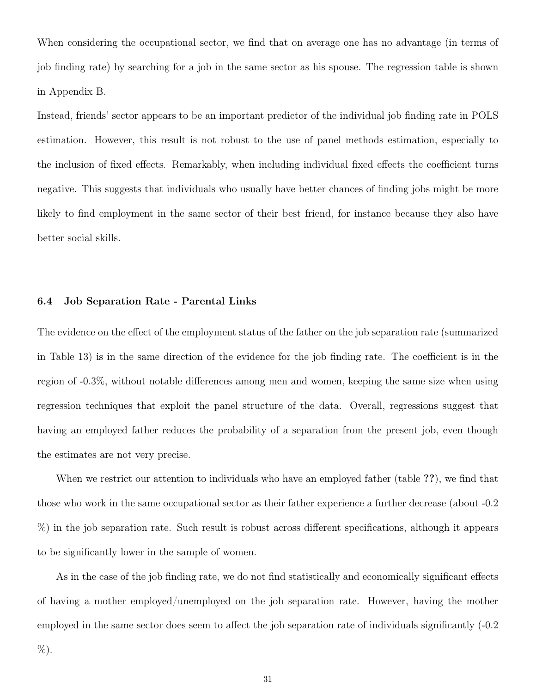When considering the occupational sector, we find that on average one has no advantage (in terms of job finding rate) by searching for a job in the same sector as his spouse. The regression table is shown in Appendix B.

Instead, friends' sector appears to be an important predictor of the individual job finding rate in POLS estimation. However, this result is not robust to the use of panel methods estimation, especially to the inclusion of fixed effects. Remarkably, when including individual fixed effects the coefficient turns negative. This suggests that individuals who usually have better chances of finding jobs might be more likely to find employment in the same sector of their best friend, for instance because they also have better social skills.

### 6.4 Job Separation Rate - Parental Links

The evidence on the effect of the employment status of the father on the job separation rate (summarized in Table 13) is in the same direction of the evidence for the job finding rate. The coefficient is in the region of -0.3%, without notable differences among men and women, keeping the same size when using regression techniques that exploit the panel structure of the data. Overall, regressions suggest that having an employed father reduces the probability of a separation from the present job, even though the estimates are not very precise.

When we restrict our attention to individuals who have an employed father (table ??), we find that those who work in the same occupational sector as their father experience a further decrease (about -0.2 %) in the job separation rate. Such result is robust across different specifications, although it appears to be significantly lower in the sample of women.

As in the case of the job finding rate, we do not find statistically and economically significant effects of having a mother employed/unemployed on the job separation rate. However, having the mother employed in the same sector does seem to affect the job separation rate of individuals significantly (-0.2 %).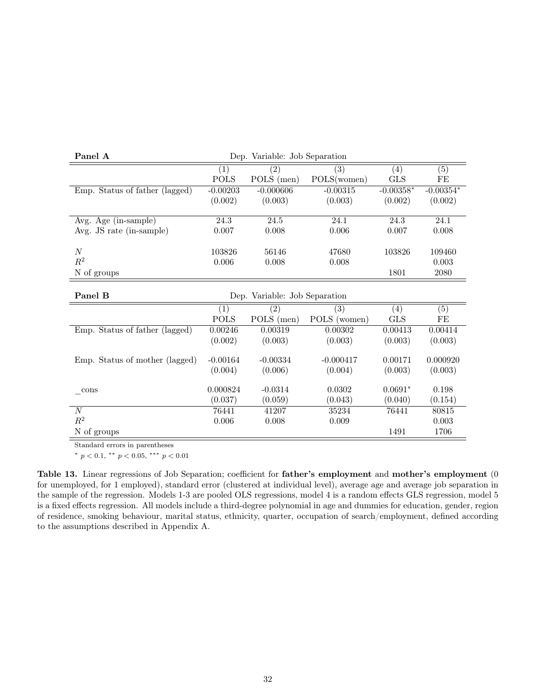| Panel A                        | Dep. Variable: Job Separation |                               |              |             |             |
|--------------------------------|-------------------------------|-------------------------------|--------------|-------------|-------------|
|                                | (1)                           | (2)                           | (4)          | (5)         |             |
|                                | <b>POLS</b>                   | POLS (men)                    | POLS(women)  | <b>GLS</b>  | FE          |
| Emp. Status of father (lagged) | $-0.00203$                    | $-0.000606$                   | $-0.00315$   | $-0.00358*$ | $-0.00354*$ |
|                                | (0.002)                       | (0.003)                       | (0.003)      | (0.002)     | (0.002)     |
| Avg. Age (in-sample)           | 24.3                          | 24.5                          | 24.1         | 24.3        | 24.1        |
| Avg. JS rate (in-sample)       | 0.007                         | 0.008                         | 0.006        | 0.007       | 0.008       |
| $\cal N$                       | 103826                        | 56146                         | 47680        | 103826      | 109460      |
| $\mathbb{R}^2$                 | 0.006                         | 0.008                         | 0.008        |             | 0.003       |
| N of groups                    |                               |                               |              | 1801        | 2080        |
|                                |                               |                               |              |             |             |
| Panel B                        |                               | Dep. Variable: Job Separation |              |             |             |
|                                | (1)                           | (2)                           | (3)          | (4)         | (5)         |
|                                | <b>POLS</b>                   | POLS (men)                    | POLS (women) | <b>GLS</b>  | FE          |
| Emp. Status of father (lagged) | 0.00246                       | 0.00319                       | 0.00302      | 0.00413     | 0.00414     |
|                                | (0.002)                       | (0.003)                       | (0.003)      | (0.003)     | (0.003)     |
| Emp. Status of mother (lagged) | $-0.00164$                    | $-0.00334$                    | $-0.000417$  | 0.00171     | 0.000920    |
|                                | (0.004)                       | (0.006)                       | (0.004)      | (0.003)     | (0.003)     |
| $\cos$                         | 0.000824                      | $-0.0314$                     | 0.0302       | $0.0691*$   | 0.198       |
|                                | (0.037)                       | (0.059)                       | (0.043)      | (0.040)     | (0.154)     |
| N                              | 76441                         | 41207                         | 35234        | 76441       | 80815       |
| $\mathbb{R}^2$                 | 0.006                         | 0.008                         | 0.009        |             | 0.003       |
|                                |                               |                               |              |             |             |

Standard errors in parentheses

\*  $p < 0.1$ , \*\*  $p < 0.05$ , \*\*\*  $p < 0.01$ 

Table 13. Linear regressions of Job Separation; coefficient for father's employment and mother's employment (0 for unemployed, for 1 employed), standard error (clustered at individual level), average age and average job separation in the sample of the regression. Models 1-3 are pooled OLS regressions, model 4 is a random effects GLS regression, model 5 is a fixed effects regression. All models include a third-degree polynomial in age and dummies for education, gender, region of residence, smoking behaviour, marital status, ethnicity, quarter, occupation of search/employment, defined according to the assumptions described in Appendix A.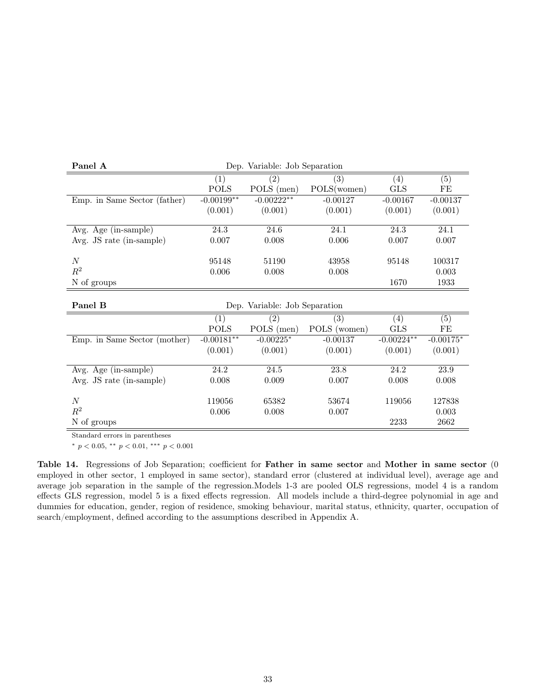| Panel A                      | Dep. Variable: Job Separation |                               |              |              |             |
|------------------------------|-------------------------------|-------------------------------|--------------|--------------|-------------|
|                              | (1)                           | (2)                           | (3)          | (4)          | (5)         |
|                              | <b>POLS</b>                   | POLS (men)                    | POLS(women)  | <b>GLS</b>   | FE          |
| Emp. in Same Sector (father) | $-0.00199**$                  | $-0.00222**$                  | $-0.00127$   | $-0.00167$   | $-0.00137$  |
|                              | (0.001)                       | (0.001)                       | (0.001)      | (0.001)      | (0.001)     |
|                              |                               |                               |              |              |             |
| Avg. Age (in-sample)         | 24.3                          | 24.6                          | 24.1         | 24.3         | 24.1        |
| Avg. JS rate (in-sample)     | 0.007                         | 0.008                         | 0.006        | 0.007        | 0.007       |
|                              |                               |                               |              |              |             |
| $\boldsymbol{N}$             | 95148                         | 51190                         | 43958        | 95148        | 100317      |
| $\mathbb{R}^2$               | 0.006                         | 0.008                         | 0.008        |              | 0.003       |
| N of groups                  |                               |                               |              | 1670         | 1933        |
|                              |                               |                               |              |              |             |
| Panel B                      |                               | Dep. Variable: Job Separation |              |              |             |
|                              | (1)                           | $\overline{(2)}$              | (3)          | (4)          | (5)         |
|                              | <b>POLS</b>                   | POLS (men)                    | POLS (women) | <b>GLS</b>   | $\rm FE$    |
| Emp. in Same Sector (mother) | $-0.00181**$                  | $-0.00225*$                   | $-0.00137$   | $-0.00224**$ | $-0.00175*$ |
|                              | (0.001)                       | (0.001)                       | (0.001)      | (0.001)      | (0.001)     |
|                              |                               |                               |              |              |             |
| Avg. Age (in-sample)         |                               |                               |              | 24.2         | 23.9        |
|                              | 24.2                          | $\overline{24.5}$             | 23.8         |              |             |
| Avg. JS rate (in-sample)     | 0.008                         | 0.009                         | 0.007        | 0.008        | 0.008       |
|                              |                               |                               |              |              |             |
| $\boldsymbol{N}$             | 119056                        | 65382                         | 53674        | 119056       | 127838      |
| $\mathbb{R}^2$               | 0.006                         | 0.008                         | 0.007        |              | 0.003       |

Standard errors in parentheses

\*  $p < 0.05$ , \*\*  $p < 0.01$ , \*\*\*  $p < 0.001$ 

Table 14. Regressions of Job Separation; coefficient for Father in same sector and Mother in same sector (0 employed in other sector, 1 employed in same sector), standard error (clustered at individual level), average age and average job separation in the sample of the regression.Models 1-3 are pooled OLS regressions, model 4 is a random effects GLS regression, model 5 is a fixed effects regression. All models include a third-degree polynomial in age and dummies for education, gender, region of residence, smoking behaviour, marital status, ethnicity, quarter, occupation of search/employment, defined according to the assumptions described in Appendix A.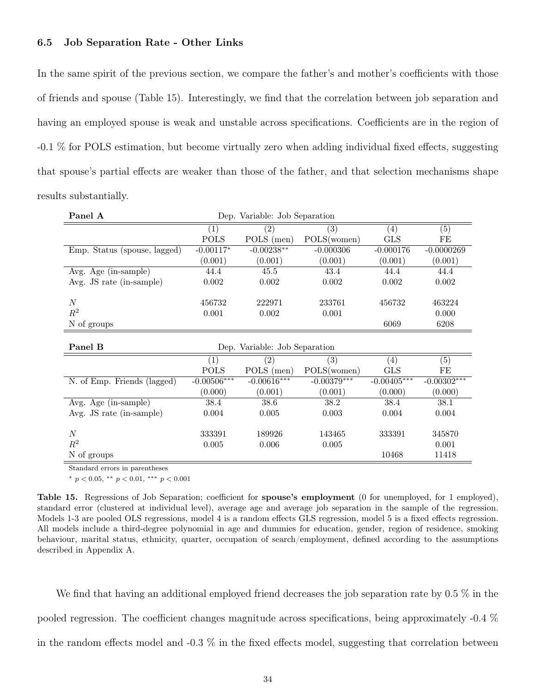### 6.5 Job Separation Rate - Other Links

In the same spirit of the previous section, we compare the father's and mother's coefficients with those of friends and spouse (Table 15). Interestingly, we find that the correlation between job separation and having an employed spouse is weak and unstable across specifications. Coefficients are in the region of -0.1 % for POLS estimation, but become virtually zero when adding individual fixed effects, suggesting that spouse's partial effects are weaker than those of the father, and that selection mechanisms shape results substantially.

| Panel A                      |                   | Dep. Variable: Job Separation |               |               |               |  |  |
|------------------------------|-------------------|-------------------------------|---------------|---------------|---------------|--|--|
|                              | $\left( 1\right)$ | (2)                           | (3)           | (4)           | (5)           |  |  |
|                              | <b>POLS</b>       | POLS (men)                    | POLS(women)   | <b>GLS</b>    | $\rm FE$      |  |  |
| Emp. Status (spouse, lagged) | $-0.00117*$       | $-0.00238**$                  | $-0.000306$   | $-0.000176$   | $-0.0000269$  |  |  |
|                              | (0.001)           | (0.001)                       | (0.001)       | (0.001)       | (0.001)       |  |  |
| Avg. Age (in-sample)         | 44.4              | $45.5\,$                      | 43.4          | 44.4          | 44.4          |  |  |
| Avg. JS rate (in-sample)     | 0.002             | 0.002                         | 0.002         | 0.002         | 0.002         |  |  |
|                              |                   |                               |               |               |               |  |  |
| $\boldsymbol{N}$             | 456732            | 222971                        | 233761        | 456732        | 463224        |  |  |
| $\mathbb{R}^2$               | 0.001             | 0.002                         | 0.001         |               | 0.000         |  |  |
| N of groups                  |                   |                               |               | 6069          | 6208          |  |  |
|                              |                   |                               |               |               |               |  |  |
| Panel B                      |                   | Dep. Variable: Job Separation |               |               |               |  |  |
|                              | $\left( 1\right)$ | (2)                           | (3)           | (4)           | (5)           |  |  |
|                              | <b>POLS</b>       | POLS (men)                    | POLS(women)   | GLS           | FE            |  |  |
| N. of Emp. Friends (lagged)  | $-0.00506***$     | $-0.00616***$                 | $-0.00379***$ | $-0.00405***$ | $-0.00302***$ |  |  |
|                              | (0.000)           | (0.001)                       | (0.001)       | (0.000)       | (0.000)       |  |  |
| Avg. Age (in-sample)         | 38.4              | 38.6                          | 38.2          | 38.4          | 38.1          |  |  |
| Avg. JS rate (in-sample)     | 0.004             | 0.005                         | 0.003         | 0.004         | 0.004         |  |  |
|                              |                   |                               |               |               |               |  |  |
| $\boldsymbol{N}$             | 333391            | 189926                        | 143465        | 333391        | 345870        |  |  |
| $\mathbb{R}^2$               | 0.005             | 0.006                         | 0.005         |               | 0.001         |  |  |
| N of groups                  |                   |                               |               | 10468         | 11418         |  |  |

Standard errors in parentheses

\*  $p < 0.05$ , \*\*  $p < 0.01$ , \*\*\*  $p < 0.001$ 

Table 15. Regressions of Job Separation; coefficient for spouse's employment (0 for unemployed, for 1 employed), standard error (clustered at individual level), average age and average job separation in the sample of the regression. Models 1-3 are pooled OLS regressions, model 4 is a random effects GLS regression, model 5 is a fixed effects regression. All models include a third-degree polynomial in age and dummies for education, gender, region of residence, smoking behaviour, marital status, ethnicity, quarter, occupation of search/employment, defined according to the assumptions described in Appendix A.

We find that having an additional employed friend decreases the job separation rate by 0.5 % in the pooled regression. The coefficient changes magnitude across specifications, being approximately -0.4 % in the random effects model and -0.3 % in the fixed effects model, suggesting that correlation between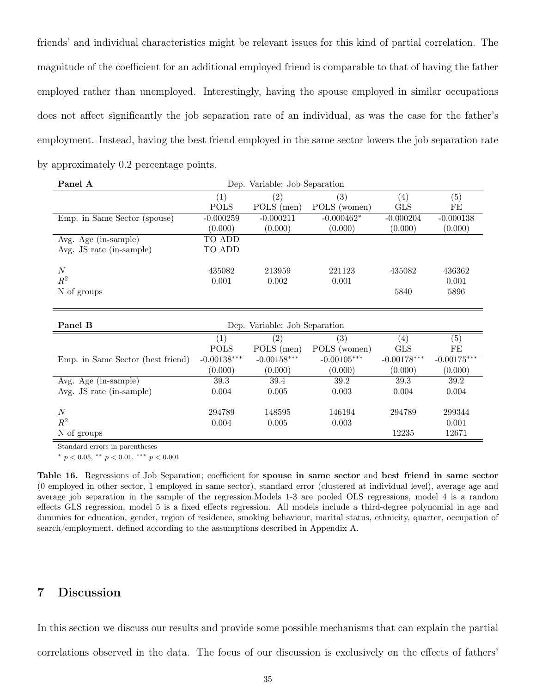friends' and individual characteristics might be relevant issues for this kind of partial correlation. The magnitude of the coefficient for an additional employed friend is comparable to that of having the father employed rather than unemployed. Interestingly, having the spouse employed in similar occupations does not affect significantly the job separation rate of an individual, as was the case for the father's employment. Instead, having the best friend employed in the same sector lowers the job separation rate by approximately 0.2 percentage points.

| Panel A                           | Dep. Variable: Job Separation |                   |               |                   |                |  |  |
|-----------------------------------|-------------------------------|-------------------|---------------|-------------------|----------------|--|--|
|                                   | (1)                           | (3)<br>(2)<br>(4) |               |                   |                |  |  |
|                                   | <b>POLS</b>                   | POLS (men)        | POLS (women)  | <b>GLS</b>        | FE             |  |  |
| Emp. in Same Sector (spouse)      | $-0.000259$                   | $-0.000211$       | $-0.000462*$  | $-0.000204$       | $-0.000138$    |  |  |
|                                   | (0.000)                       | (0.000)           | (0.000)       | (0.000)           | (0.000)        |  |  |
| Avg. Age (in-sample)              | TO ADD                        |                   |               |                   |                |  |  |
| Avg. JS rate (in-sample)          | TO ADD                        |                   |               |                   |                |  |  |
|                                   |                               |                   |               |                   |                |  |  |
| $\boldsymbol{N}$                  | 435082                        | 213959            | 221123        | 435082            | 436362         |  |  |
| $\mathbb{R}^2$                    | 0.001                         | 0.002             | 0.001         |                   | 0.001          |  |  |
| N of groups                       |                               |                   |               | 5840              | 5896           |  |  |
|                                   |                               |                   |               |                   |                |  |  |
|                                   |                               |                   |               |                   |                |  |  |
| Panel B                           | Dep. Variable: Job Separation |                   |               |                   |                |  |  |
|                                   |                               |                   |               |                   |                |  |  |
|                                   | (1)                           | (2)               | (3)           | $\left( 4\right)$ | (5)            |  |  |
|                                   | <b>POLS</b>                   | POLS (men)        | POLS (women)  | <b>GLS</b>        | $\rm FE$       |  |  |
| Emp. in Same Sector (best friend) | $-0.00138***$                 | $-0.00158***$     | $-0.00105***$ | $-0.00178***$     | $-0.00175***$  |  |  |
|                                   | (0.000)                       | (0.000)           | (0.000)       | (0.000)           | (0.000)        |  |  |
| Avg. Age (in-sample)              | 39.3                          | 39.4              | 39.2          | 39.3              | 39.2           |  |  |
| Avg. JS rate (in-sample)          | 0.004                         | 0.005             | 0.003         | 0.004             | 0.004          |  |  |
|                                   |                               |                   |               |                   |                |  |  |
| $\boldsymbol{N}$                  | 294789                        | 148595            | 146194        | 294789            | 299344         |  |  |
| $\mathbb{R}^2$<br>N of groups     | 0.004                         | 0.005             | 0.003         | 12235             | 0.001<br>12671 |  |  |

Standard errors in parentheses

\*  $p < 0.05$ , \*\*  $p < 0.01$ , \*\*\*  $p < 0.001$ 

Table 16. Regressions of Job Separation; coefficient for spouse in same sector and best friend in same sector (0 employed in other sector, 1 employed in same sector), standard error (clustered at individual level), average age and average job separation in the sample of the regression.Models 1-3 are pooled OLS regressions, model 4 is a random effects GLS regression, model 5 is a fixed effects regression. All models include a third-degree polynomial in age and dummies for education, gender, region of residence, smoking behaviour, marital status, ethnicity, quarter, occupation of search/employment, defined according to the assumptions described in Appendix A.

## 7 Discussion

In this section we discuss our results and provide some possible mechanisms that can explain the partial correlations observed in the data. The focus of our discussion is exclusively on the effects of fathers'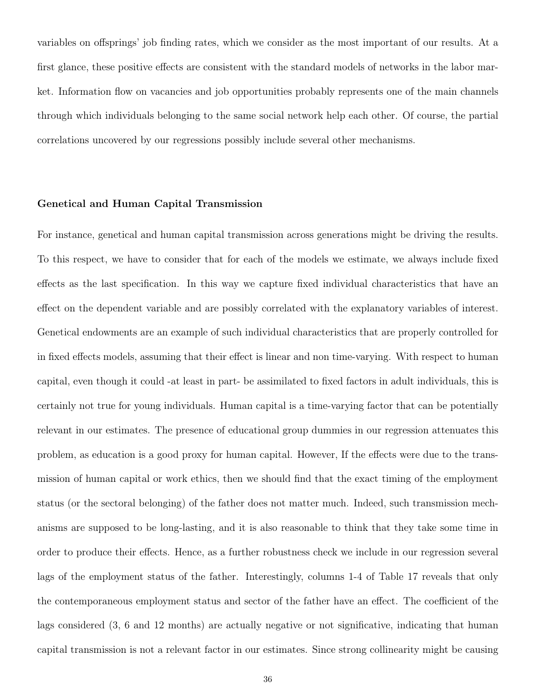variables on offsprings' job finding rates, which we consider as the most important of our results. At a first glance, these positive effects are consistent with the standard models of networks in the labor market. Information flow on vacancies and job opportunities probably represents one of the main channels through which individuals belonging to the same social network help each other. Of course, the partial correlations uncovered by our regressions possibly include several other mechanisms.

### Genetical and Human Capital Transmission

For instance, genetical and human capital transmission across generations might be driving the results. To this respect, we have to consider that for each of the models we estimate, we always include fixed effects as the last specification. In this way we capture fixed individual characteristics that have an effect on the dependent variable and are possibly correlated with the explanatory variables of interest. Genetical endowments are an example of such individual characteristics that are properly controlled for in fixed effects models, assuming that their effect is linear and non time-varying. With respect to human capital, even though it could -at least in part- be assimilated to fixed factors in adult individuals, this is certainly not true for young individuals. Human capital is a time-varying factor that can be potentially relevant in our estimates. The presence of educational group dummies in our regression attenuates this problem, as education is a good proxy for human capital. However, If the effects were due to the transmission of human capital or work ethics, then we should find that the exact timing of the employment status (or the sectoral belonging) of the father does not matter much. Indeed, such transmission mechanisms are supposed to be long-lasting, and it is also reasonable to think that they take some time in order to produce their effects. Hence, as a further robustness check we include in our regression several lags of the employment status of the father. Interestingly, columns 1-4 of Table 17 reveals that only the contemporaneous employment status and sector of the father have an effect. The coefficient of the lags considered (3, 6 and 12 months) are actually negative or not significative, indicating that human capital transmission is not a relevant factor in our estimates. Since strong collinearity might be causing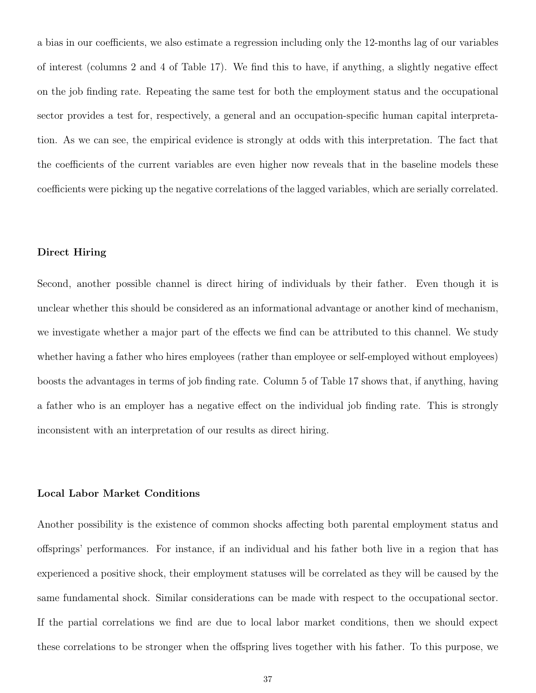a bias in our coefficients, we also estimate a regression including only the 12-months lag of our variables of interest (columns 2 and 4 of Table 17). We find this to have, if anything, a slightly negative effect on the job finding rate. Repeating the same test for both the employment status and the occupational sector provides a test for, respectively, a general and an occupation-specific human capital interpretation. As we can see, the empirical evidence is strongly at odds with this interpretation. The fact that the coefficients of the current variables are even higher now reveals that in the baseline models these coefficients were picking up the negative correlations of the lagged variables, which are serially correlated.

### Direct Hiring

Second, another possible channel is direct hiring of individuals by their father. Even though it is unclear whether this should be considered as an informational advantage or another kind of mechanism, we investigate whether a major part of the effects we find can be attributed to this channel. We study whether having a father who hires employees (rather than employee or self-employed without employees) boosts the advantages in terms of job finding rate. Column 5 of Table 17 shows that, if anything, having a father who is an employer has a negative effect on the individual job finding rate. This is strongly inconsistent with an interpretation of our results as direct hiring.

#### Local Labor Market Conditions

Another possibility is the existence of common shocks affecting both parental employment status and offsprings' performances. For instance, if an individual and his father both live in a region that has experienced a positive shock, their employment statuses will be correlated as they will be caused by the same fundamental shock. Similar considerations can be made with respect to the occupational sector. If the partial correlations we find are due to local labor market conditions, then we should expect these correlations to be stronger when the offspring lives together with his father. To this purpose, we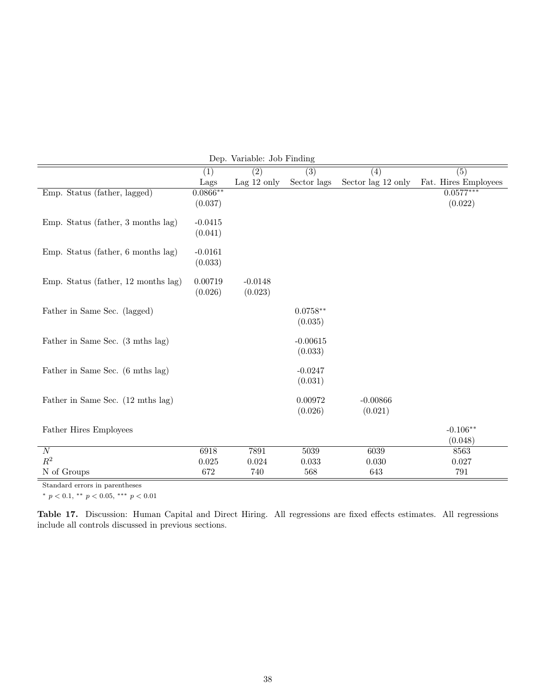|                                     |            | Dep. variable. Job Finding |                  |                      |                      |
|-------------------------------------|------------|----------------------------|------------------|----------------------|----------------------|
|                                     | (1)        | $\overline{(2)}$           | $\overline{(3)}$ | $\overline{(4)}$     | $\overline{(5)}$     |
|                                     | Lags       | Lag $12$ only              | Sector lags      | Sector lag $12$ only | Fat. Hires Employees |
| Emp. Status (father, lagged)        | $0.0866**$ |                            |                  |                      | $0.0577***$          |
|                                     | (0.037)    |                            |                  |                      | (0.022)              |
|                                     |            |                            |                  |                      |                      |
| Emp. Status (father, 3 months lag)  | $-0.0415$  |                            |                  |                      |                      |
|                                     | (0.041)    |                            |                  |                      |                      |
| Emp. Status (father, 6 months lag)  | $-0.0161$  |                            |                  |                      |                      |
|                                     | (0.033)    |                            |                  |                      |                      |
|                                     |            |                            |                  |                      |                      |
| Emp. Status (father, 12 months lag) | 0.00719    | $-0.0148$                  |                  |                      |                      |
|                                     | (0.026)    | (0.023)                    |                  |                      |                      |
|                                     |            |                            |                  |                      |                      |
| Father in Same Sec. (lagged)        |            |                            | $0.0758**$       |                      |                      |
|                                     |            |                            | (0.035)          |                      |                      |
| Father in Same Sec. (3 mths lag)    |            |                            | $-0.00615$       |                      |                      |
|                                     |            |                            | (0.033)          |                      |                      |
|                                     |            |                            |                  |                      |                      |
| Father in Same Sec. (6 mths lag)    |            |                            | $-0.0247$        |                      |                      |
|                                     |            |                            | (0.031)          |                      |                      |
|                                     |            |                            |                  |                      |                      |
| Father in Same Sec. (12 mths lag)   |            |                            | 0.00972          | $-0.00866$           |                      |
|                                     |            |                            | (0.026)          | (0.021)              |                      |
| Father Hires Employees              |            |                            |                  |                      | $-0.106**$           |
|                                     |            |                            |                  |                      | (0.048)              |
| $\cal N$                            | 6918       | 7891                       | 5039             | 6039                 | 8563                 |
| $R^2$                               | 0.025      | 0.024                      | 0.033            | 0.030                | 0.027                |
| N of Groups                         | 672        | 740                        | 568              | 643                  | 791                  |
|                                     |            |                            |                  |                      |                      |

Dep. Variable: Job Finding

Standard errors in parentheses

\*  $p < 0.1$ , \*\*  $p < 0.05$ , \*\*\*  $p < 0.01$ 

Table 17. Discussion: Human Capital and Direct Hiring. All regressions are fixed effects estimates. All regressions include all controls discussed in previous sections.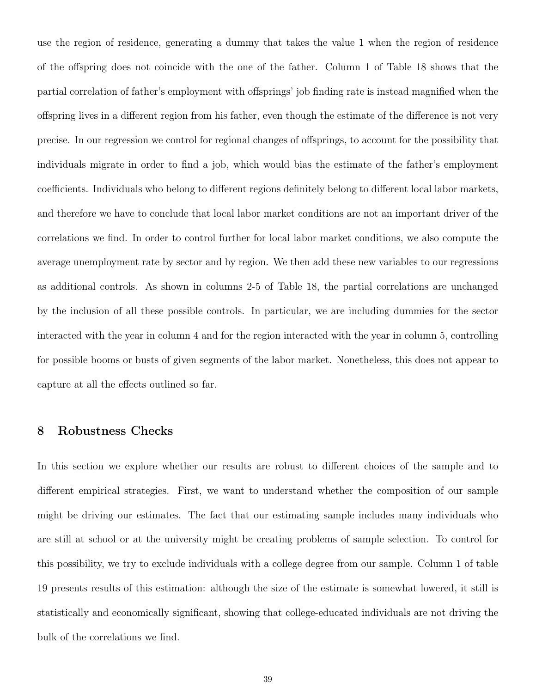use the region of residence, generating a dummy that takes the value 1 when the region of residence of the offspring does not coincide with the one of the father. Column 1 of Table 18 shows that the partial correlation of father's employment with offsprings' job finding rate is instead magnified when the offspring lives in a different region from his father, even though the estimate of the difference is not very precise. In our regression we control for regional changes of offsprings, to account for the possibility that individuals migrate in order to find a job, which would bias the estimate of the father's employment coefficients. Individuals who belong to different regions definitely belong to different local labor markets, and therefore we have to conclude that local labor market conditions are not an important driver of the correlations we find. In order to control further for local labor market conditions, we also compute the average unemployment rate by sector and by region. We then add these new variables to our regressions as additional controls. As shown in columns 2-5 of Table 18, the partial correlations are unchanged by the inclusion of all these possible controls. In particular, we are including dummies for the sector interacted with the year in column 4 and for the region interacted with the year in column 5, controlling for possible booms or busts of given segments of the labor market. Nonetheless, this does not appear to capture at all the effects outlined so far.

## 8 Robustness Checks

In this section we explore whether our results are robust to different choices of the sample and to different empirical strategies. First, we want to understand whether the composition of our sample might be driving our estimates. The fact that our estimating sample includes many individuals who are still at school or at the university might be creating problems of sample selection. To control for this possibility, we try to exclude individuals with a college degree from our sample. Column 1 of table 19 presents results of this estimation: although the size of the estimate is somewhat lowered, it still is statistically and economically significant, showing that college-educated individuals are not driving the bulk of the correlations we find.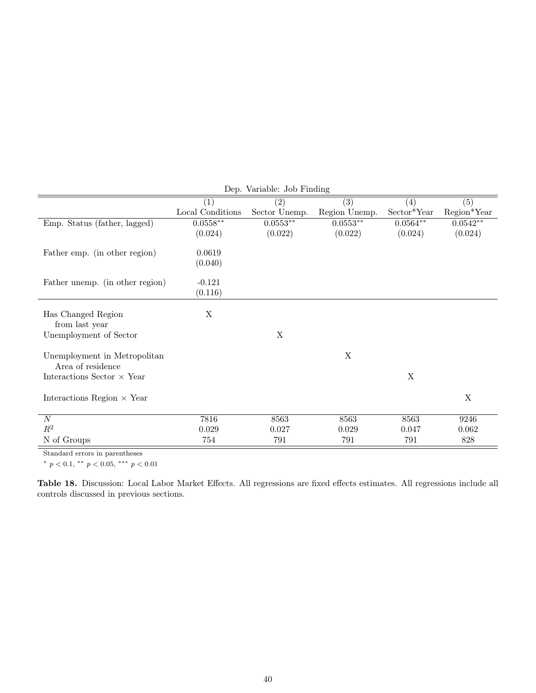|                                   | Dep. Variable: Job Finding |               |                  |             |                  |  |
|-----------------------------------|----------------------------|---------------|------------------|-------------|------------------|--|
|                                   | (1)                        | (2)           | $\overline{(3)}$ | (4)         | $\overline{(5)}$ |  |
|                                   | Local Conditions           | Sector Unemp. | Region Unemp.    | Sector*Year | Region*Year      |  |
| Emp. Status (father, lagged)      | $0.0558**$                 | $0.0553**$    | $0.0553**$       | $0.0564**$  | $0.0542**$       |  |
|                                   | (0.024)                    | (0.022)       | (0.022)          | (0.024)     | (0.024)          |  |
|                                   | 0.0619                     |               |                  |             |                  |  |
| Father emp. (in other region)     |                            |               |                  |             |                  |  |
|                                   | (0.040)                    |               |                  |             |                  |  |
| Father unemp. (in other region)   | $-0.121$                   |               |                  |             |                  |  |
|                                   | (0.116)                    |               |                  |             |                  |  |
|                                   |                            |               |                  |             |                  |  |
| Has Changed Region                | $\mathbf X$                |               |                  |             |                  |  |
| from last year                    |                            |               |                  |             |                  |  |
| Unemployment of Sector            |                            | X             |                  |             |                  |  |
|                                   |                            |               |                  |             |                  |  |
| Unemployment in Metropolitan      |                            |               | X                |             |                  |  |
| Area of residence                 |                            |               |                  |             |                  |  |
| Interactions Sector $\times$ Year |                            |               |                  | X           |                  |  |
| Interactions Region $\times$ Year |                            |               |                  |             | X                |  |
|                                   |                            |               |                  |             |                  |  |
| $\boldsymbol{N}$                  | 7816                       | 8563          | 8563             | 8563        | 9246             |  |
| $R^2$                             | 0.029                      | 0.027         | 0.029            | 0.047       | 0.062            |  |
| N of Groups                       | 754                        | 791           | 791              | 791         | 828              |  |

Standard errors in parentheses

\*  $p < 0.1$ , \*\*  $p < 0.05$ , \*\*\*  $p < 0.01$ 

Table 18. Discussion: Local Labor Market Effects. All regressions are fixed effects estimates. All regressions include all controls discussed in previous sections.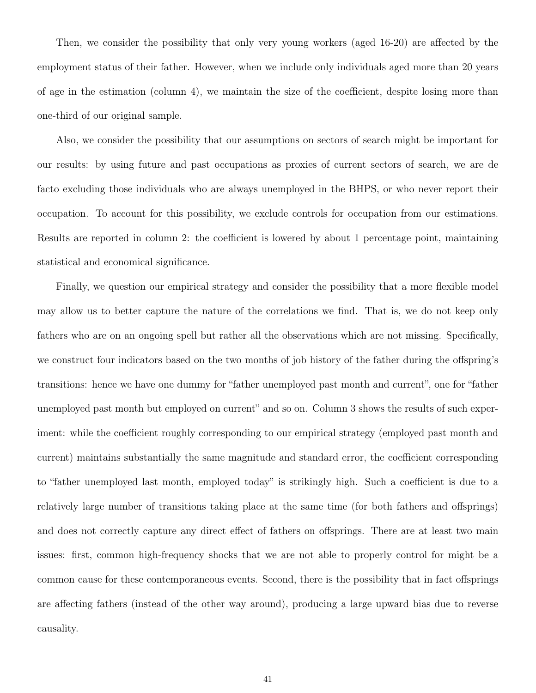Then, we consider the possibility that only very young workers (aged 16-20) are affected by the employment status of their father. However, when we include only individuals aged more than 20 years of age in the estimation (column 4), we maintain the size of the coefficient, despite losing more than one-third of our original sample.

Also, we consider the possibility that our assumptions on sectors of search might be important for our results: by using future and past occupations as proxies of current sectors of search, we are de facto excluding those individuals who are always unemployed in the BHPS, or who never report their occupation. To account for this possibility, we exclude controls for occupation from our estimations. Results are reported in column 2: the coefficient is lowered by about 1 percentage point, maintaining statistical and economical significance.

Finally, we question our empirical strategy and consider the possibility that a more flexible model may allow us to better capture the nature of the correlations we find. That is, we do not keep only fathers who are on an ongoing spell but rather all the observations which are not missing. Specifically, we construct four indicators based on the two months of job history of the father during the offspring's transitions: hence we have one dummy for "father unemployed past month and current", one for "father unemployed past month but employed on current" and so on. Column 3 shows the results of such experiment: while the coefficient roughly corresponding to our empirical strategy (employed past month and current) maintains substantially the same magnitude and standard error, the coefficient corresponding to "father unemployed last month, employed today" is strikingly high. Such a coefficient is due to a relatively large number of transitions taking place at the same time (for both fathers and offsprings) and does not correctly capture any direct effect of fathers on offsprings. There are at least two main issues: first, common high-frequency shocks that we are not able to properly control for might be a common cause for these contemporaneous events. Second, there is the possibility that in fact offsprings are affecting fathers (instead of the other way around), producing a large upward bias due to reverse causality.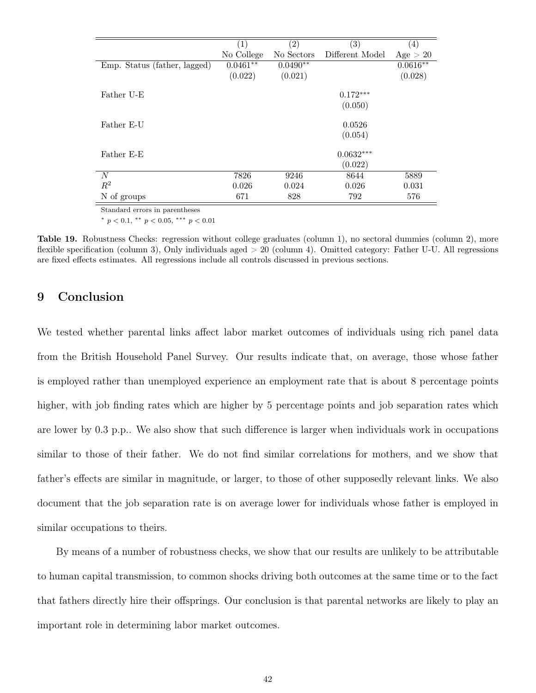|                              | $\left(1\right)$ | $\left( 2\right)$ | $\left( 3\right)$ | $\left( 4\right)$ |
|------------------------------|------------------|-------------------|-------------------|-------------------|
|                              | No College       | No Sectors        | Different Model   | Age > 20          |
| Emp. Status (father, lagged) | $0.0461**$       | $0.0490**$        |                   | $0.0616**$        |
|                              | (0.022)          | (0.021)           |                   | (0.028)           |
|                              |                  |                   |                   |                   |
| Father U-E                   |                  |                   | $0.172***$        |                   |
|                              |                  |                   | (0.050)           |                   |
|                              |                  |                   |                   |                   |
| Father E-U                   |                  |                   | 0.0526            |                   |
|                              |                  |                   | (0.054)           |                   |
|                              |                  |                   |                   |                   |
| Father E-E                   |                  |                   | $0.0632***$       |                   |
|                              |                  |                   | (0.022)           |                   |
| N                            | 7826             | 9246              | 8644              | 5889              |
| $R^2$                        | 0.026            | 0.024             | 0.026             | 0.031             |
| N of groups                  | 671              | 828               | 792               | 576               |

Standard errors in parentheses

\*  $p < 0.1$ , \*\*  $p < 0.05$ , \*\*\*  $p < 0.01$ 

Table 19. Robustness Checks: regression without college graduates (column 1), no sectoral dummies (column 2), more flexible specification (column 3), Only individuals aged > 20 (column 4). Omitted category: Father U-U. All regressions are fixed effects estimates. All regressions include all controls discussed in previous sections.

## 9 Conclusion

We tested whether parental links affect labor market outcomes of individuals using rich panel data from the British Household Panel Survey. Our results indicate that, on average, those whose father is employed rather than unemployed experience an employment rate that is about 8 percentage points higher, with job finding rates which are higher by 5 percentage points and job separation rates which are lower by 0.3 p.p.. We also show that such difference is larger when individuals work in occupations similar to those of their father. We do not find similar correlations for mothers, and we show that father's effects are similar in magnitude, or larger, to those of other supposedly relevant links. We also document that the job separation rate is on average lower for individuals whose father is employed in similar occupations to theirs.

By means of a number of robustness checks, we show that our results are unlikely to be attributable to human capital transmission, to common shocks driving both outcomes at the same time or to the fact that fathers directly hire their offsprings. Our conclusion is that parental networks are likely to play an important role in determining labor market outcomes.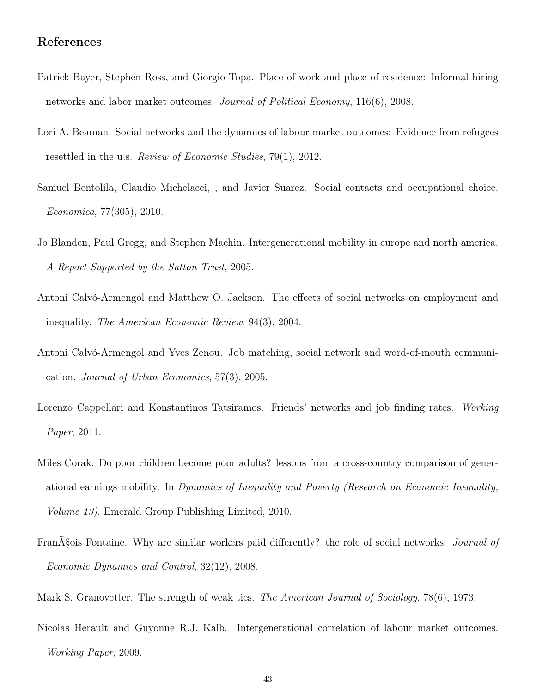## References

- Patrick Bayer, Stephen Ross, and Giorgio Topa. Place of work and place of residence: Informal hiring networks and labor market outcomes. Journal of Political Economy, 116(6), 2008.
- Lori A. Beaman. Social networks and the dynamics of labour market outcomes: Evidence from refugees resettled in the u.s. *Review of Economic Studies*, 79(1), 2012.
- Samuel Bentolila, Claudio Michelacci, , and Javier Suarez. Social contacts and occupational choice. Economica, 77(305), 2010.
- Jo Blanden, Paul Gregg, and Stephen Machin. Intergenerational mobility in europe and north america. A Report Supported by the Sutton Trust, 2005.
- Antoni Calvó-Armengol and Matthew O. Jackson. The effects of social networks on employment and inequality. The American Economic Review, 94(3), 2004.
- Antoni Calvó-Armengol and Yves Zenou. Job matching, social network and word-of-mouth communication. Journal of Urban Economics, 57(3), 2005.
- Lorenzo Cappellari and Konstantinos Tatsiramos. Friends' networks and job finding rates. Working Paper, 2011.
- Miles Corak. Do poor children become poor adults? lessons from a cross-country comparison of generational earnings mobility. In Dynamics of Inequality and Poverty (Research on Economic Inequality, Volume 13). Emerald Group Publishing Limited, 2010.
- FranA§ois Fontaine. Why are similar workers paid differently? the role of social networks. Journal of Economic Dynamics and Control, 32(12), 2008.
- Mark S. Granovetter. The strength of weak ties. *The American Journal of Sociology*, 78(6), 1973.
- Nicolas Herault and Guyonne R.J. Kalb. Intergenerational correlation of labour market outcomes. Working Paper, 2009.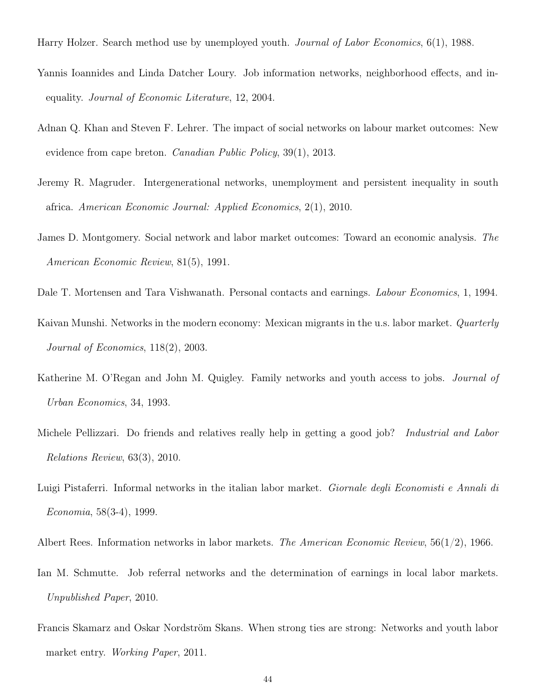- Harry Holzer. Search method use by unemployed youth. *Journal of Labor Economics*, 6(1), 1988.
- Yannis Ioannides and Linda Datcher Loury. Job information networks, neighborhood effects, and inequality. Journal of Economic Literature, 12, 2004.
- Adnan Q. Khan and Steven F. Lehrer. The impact of social networks on labour market outcomes: New evidence from cape breton. Canadian Public Policy, 39(1), 2013.
- Jeremy R. Magruder. Intergenerational networks, unemployment and persistent inequality in south africa. American Economic Journal: Applied Economics, 2(1), 2010.
- James D. Montgomery. Social network and labor market outcomes: Toward an economic analysis. The American Economic Review, 81(5), 1991.
- Dale T. Mortensen and Tara Vishwanath. Personal contacts and earnings. Labour Economics, 1, 1994.
- Kaivan Munshi. Networks in the modern economy: Mexican migrants in the u.s. labor market. *Quarterly* Journal of Economics, 118(2), 2003.
- Katherine M. O'Regan and John M. Quigley. Family networks and youth access to jobs. *Journal of* Urban Economics, 34, 1993.
- Michele Pellizzari. Do friends and relatives really help in getting a good job? *Industrial and Labor* Relations Review, 63(3), 2010.
- Luigi Pistaferri. Informal networks in the italian labor market. Giornale degli Economisti e Annali di Economia, 58(3-4), 1999.
- Albert Rees. Information networks in labor markets. The American Economic Review,  $56(1/2)$ , 1966.
- Ian M. Schmutte. Job referral networks and the determination of earnings in local labor markets. Unpublished Paper, 2010.
- Francis Skamarz and Oskar Nordström Skans. When strong ties are strong: Networks and youth labor market entry. Working Paper, 2011.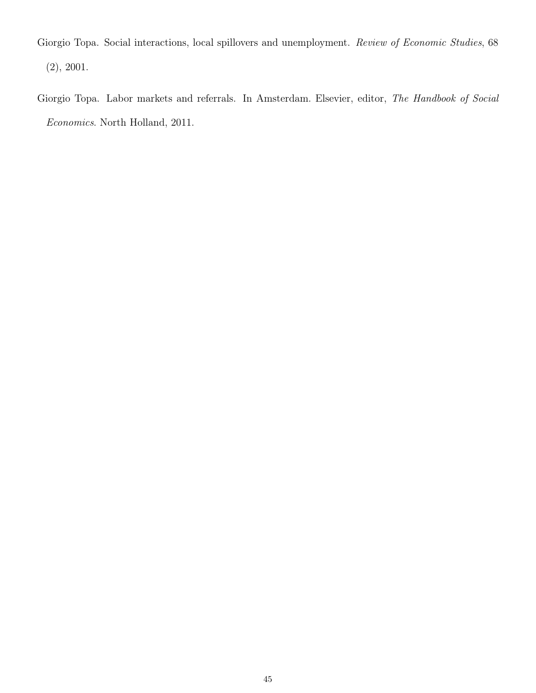Giorgio Topa. Social interactions, local spillovers and unemployment. Review of Economic Studies, 68 (2), 2001.

Giorgio Topa. Labor markets and referrals. In Amsterdam. Elsevier, editor, The Handbook of Social Economics. North Holland, 2011.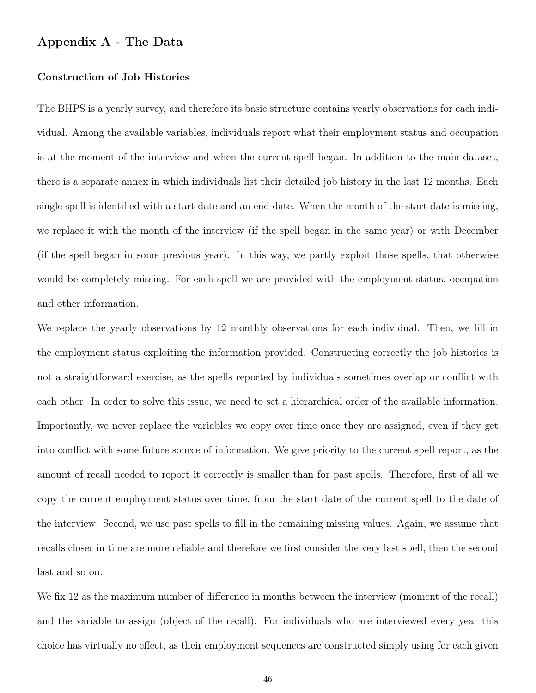## Appendix A - The Data

### Construction of Job Histories

The BHPS is a yearly survey, and therefore its basic structure contains yearly observations for each individual. Among the available variables, individuals report what their employment status and occupation is at the moment of the interview and when the current spell began. In addition to the main dataset, there is a separate annex in which individuals list their detailed job history in the last 12 months. Each single spell is identified with a start date and an end date. When the month of the start date is missing, we replace it with the month of the interview (if the spell began in the same year) or with December (if the spell began in some previous year). In this way, we partly exploit those spells, that otherwise would be completely missing. For each spell we are provided with the employment status, occupation and other information.

We replace the yearly observations by 12 monthly observations for each individual. Then, we fill in the employment status exploiting the information provided. Constructing correctly the job histories is not a straightforward exercise, as the spells reported by individuals sometimes overlap or conflict with each other. In order to solve this issue, we need to set a hierarchical order of the available information. Importantly, we never replace the variables we copy over time once they are assigned, even if they get into conflict with some future source of information. We give priority to the current spell report, as the amount of recall needed to report it correctly is smaller than for past spells. Therefore, first of all we copy the current employment status over time, from the start date of the current spell to the date of the interview. Second, we use past spells to fill in the remaining missing values. Again, we assume that recalls closer in time are more reliable and therefore we first consider the very last spell, then the second last and so on.

We fix 12 as the maximum number of difference in months between the interview (moment of the recall) and the variable to assign (object of the recall). For individuals who are interviewed every year this choice has virtually no effect, as their employment sequences are constructed simply using for each given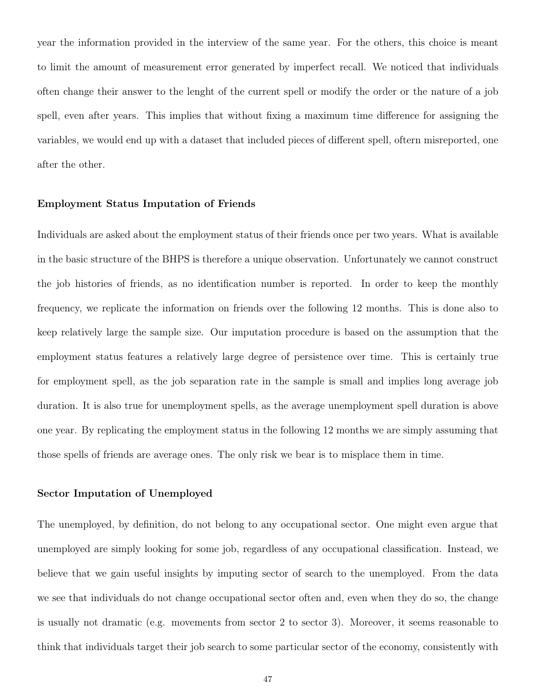year the information provided in the interview of the same year. For the others, this choice is meant to limit the amount of measurement error generated by imperfect recall. We noticed that individuals often change their answer to the lenght of the current spell or modify the order or the nature of a job spell, even after years. This implies that without fixing a maximum time difference for assigning the variables, we would end up with a dataset that included pieces of different spell, oftern misreported, one after the other.

### Employment Status Imputation of Friends

Individuals are asked about the employment status of their friends once per two years. What is available in the basic structure of the BHPS is therefore a unique observation. Unfortunately we cannot construct the job histories of friends, as no identification number is reported. In order to keep the monthly frequency, we replicate the information on friends over the following 12 months. This is done also to keep relatively large the sample size. Our imputation procedure is based on the assumption that the employment status features a relatively large degree of persistence over time. This is certainly true for employment spell, as the job separation rate in the sample is small and implies long average job duration. It is also true for unemployment spells, as the average unemployment spell duration is above one year. By replicating the employment status in the following 12 months we are simply assuming that those spells of friends are average ones. The only risk we bear is to misplace them in time.

### Sector Imputation of Unemployed

The unemployed, by definition, do not belong to any occupational sector. One might even argue that unemployed are simply looking for some job, regardless of any occupational classification. Instead, we believe that we gain useful insights by imputing sector of search to the unemployed. From the data we see that individuals do not change occupational sector often and, even when they do so, the change is usually not dramatic (e.g. movements from sector 2 to sector 3). Moreover, it seems reasonable to think that individuals target their job search to some particular sector of the economy, consistently with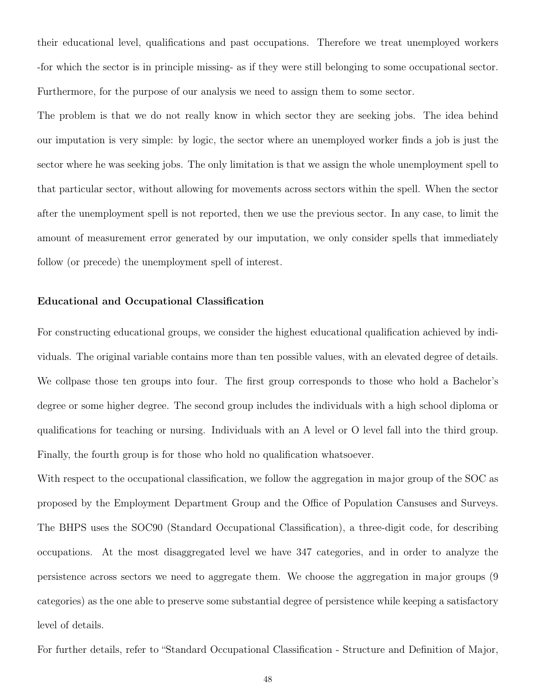their educational level, qualifications and past occupations. Therefore we treat unemployed workers -for which the sector is in principle missing- as if they were still belonging to some occupational sector. Furthermore, for the purpose of our analysis we need to assign them to some sector.

The problem is that we do not really know in which sector they are seeking jobs. The idea behind our imputation is very simple: by logic, the sector where an unemployed worker finds a job is just the sector where he was seeking jobs. The only limitation is that we assign the whole unemployment spell to that particular sector, without allowing for movements across sectors within the spell. When the sector after the unemployment spell is not reported, then we use the previous sector. In any case, to limit the amount of measurement error generated by our imputation, we only consider spells that immediately follow (or precede) the unemployment spell of interest.

### Educational and Occupational Classification

For constructing educational groups, we consider the highest educational qualification achieved by individuals. The original variable contains more than ten possible values, with an elevated degree of details. We collpase those ten groups into four. The first group corresponds to those who hold a Bachelor's degree or some higher degree. The second group includes the individuals with a high school diploma or qualifications for teaching or nursing. Individuals with an A level or O level fall into the third group. Finally, the fourth group is for those who hold no qualification whatsoever.

With respect to the occupational classification, we follow the aggregation in major group of the SOC as proposed by the Employment Department Group and the Office of Population Cansuses and Surveys. The BHPS uses the SOC90 (Standard Occupational Classification), a three-digit code, for describing occupations. At the most disaggregated level we have 347 categories, and in order to analyze the persistence across sectors we need to aggregate them. We choose the aggregation in major groups (9 categories) as the one able to preserve some substantial degree of persistence while keeping a satisfactory level of details.

For further details, refer to "Standard Occupational Classification - Structure and Definition of Major,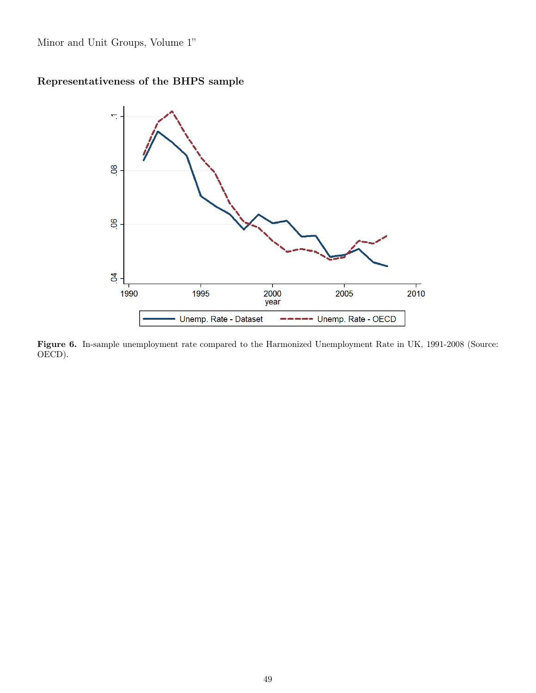Minor and Unit Groups, Volume 1"

## Representativeness of the BHPS sample



Figure 6. In-sample unemployment rate compared to the Harmonized Unemployment Rate in UK, 1991-2008 (Source: OECD).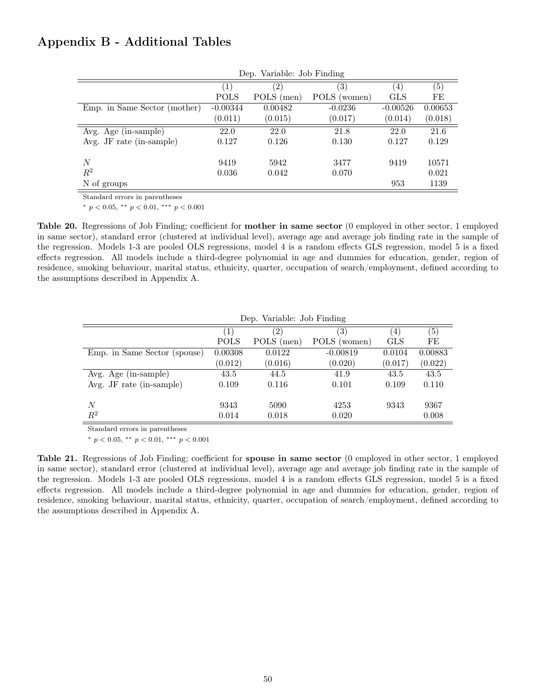## Appendix B - Additional Tables

|                                   | Dep. Variable: Job Finding |                   |                  |                  |                   |  |
|-----------------------------------|----------------------------|-------------------|------------------|------------------|-------------------|--|
|                                   | $\left(1\right)$           | $\left( 2\right)$ | $\left(3\right)$ | $\left(4\right)$ | $\left( 5\right)$ |  |
|                                   | <b>POLS</b>                | POLS (men)        | POLS<br>(women)  | <b>GLS</b>       | FE                |  |
| Emp. in Same Sector (mother)      | $-0.00344$                 | 0.00482           | $-0.0236$        | $-0.00526$       | 0.00653           |  |
|                                   | (0.011)                    | (0.015)           | (0.017)          | (0.014)          | (0.018)           |  |
| Avg. Age (in-sample)              | 22.0                       | 22.0              | 21.8             | 22.0             | 21.6              |  |
| Avg. JF rate $(in\text{-sample})$ | 0.127                      | 0.126             | 0.130            | 0.127            | 0.129             |  |
| N                                 | 9419                       | 5942              | 3477             | 9419             | 10571             |  |
| $R^2$                             | 0.036                      | 0.042             | 0.070            |                  | 0.021             |  |
| N of groups                       |                            |                   |                  | 953              | 1139              |  |

Standard errors in parentheses

\*  $p < 0.05$ , \*\*  $p < 0.01$ , \*\*\*  $p < 0.001$ 

Table 20. Regressions of Job Finding; coefficient for mother in same sector (0 employed in other sector, 1 employed in same sector), standard error (clustered at individual level), average age and average job finding rate in the sample of the regression. Models 1-3 are pooled OLS regressions, model 4 is a random effects GLS regression, model 5 is a fixed effects regression. All models include a third-degree polynomial in age and dummies for education, gender, region of residence, smoking behaviour, marital status, ethnicity, quarter, occupation of search/employment, defined according to the assumptions described in Appendix A.

|                                   | Dep. Variable: Job Finding |            |                   |            |         |  |
|-----------------------------------|----------------------------|------------|-------------------|------------|---------|--|
|                                   | $\left  \right $           | (2)        | $\left( 3\right)$ | (4)        | (5)     |  |
|                                   | <b>POLS</b>                | POLS (men) | POLS<br>(women)   | <b>GLS</b> | FE      |  |
| Emp. in Same Sector (spouse)      | 0.00308                    | 0.0122     | $-0.00819$        | 0.0104     | 0.00883 |  |
|                                   | (0.012)                    | (0.016)    | (0.020)           | (0.017)    | (0.022) |  |
| Avg. Age (in-sample)              | 43.5                       | 44.5       | 41.9              | 43.5       | 43.5    |  |
| Avg. JF rate $(in\text{-sample})$ | 0.109                      | 0.116      | 0.101             | 0.109      | 0.110   |  |
|                                   |                            |            |                   |            |         |  |
| N                                 | 9343                       | 5090       | 4253              | 9343       | 9367    |  |
| $R^2$                             | 0.014                      | 0.018      | 0.020             |            | 0.008   |  |

Standard errors in parentheses

\*  $p < 0.05$ , \*\*  $p < 0.01$ , \*\*\*  $p < 0.001$ 

Table 21. Regressions of Job Finding; coefficient for spouse in same sector (0 employed in other sector, 1 employed in same sector), standard error (clustered at individual level), average age and average job finding rate in the sample of the regression. Models 1-3 are pooled OLS regressions, model 4 is a random effects GLS regression, model 5 is a fixed effects regression. All models include a third-degree polynomial in age and dummies for education, gender, region of residence, smoking behaviour, marital status, ethnicity, quarter, occupation of search/employment, defined according to the assumptions described in Appendix A.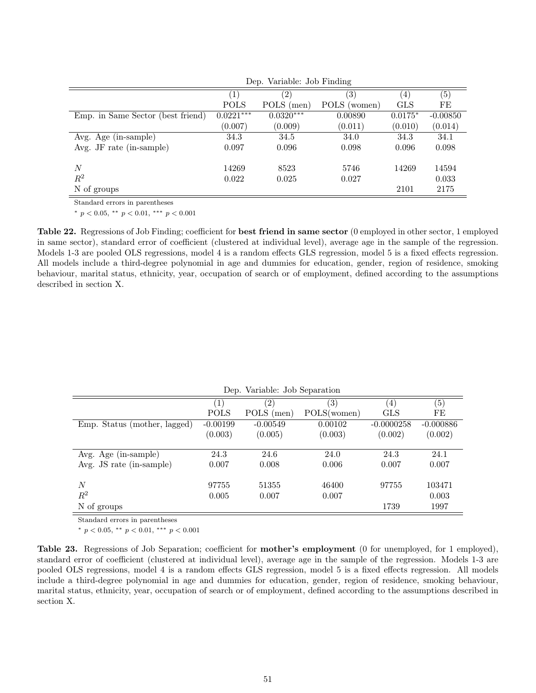| $\left( 5\right)$<br>$\left(4\right)$ |
|---------------------------------------|
| POLS (women)<br><b>GLS</b><br>FE      |
| 0.00890<br>$0.0175*$<br>$-0.00850$    |
| (0.011)<br>(0.010)<br>(0.014)         |
| 34.1<br>34.0<br>34.3                  |
| 0.096<br>0.098<br>0.098               |
|                                       |
| 14269<br>14594<br>5746                |
| 0.027<br>0.033                        |
| 2175<br>2101                          |
|                                       |

Dep. Variable: Job Finding

Standard errors in parentheses

\*  $p < 0.05$ , \*\*  $p < 0.01$ , \*\*\*  $p < 0.001$ 

Table 22. Regressions of Job Finding; coefficient for best friend in same sector (0 employed in other sector, 1 employed in same sector), standard error of coefficient (clustered at individual level), average age in the sample of the regression. Models 1-3 are pooled OLS regressions, model 4 is a random effects GLS regression, model 5 is a fixed effects regression. All models include a third-degree polynomial in age and dummies for education, gender, region of residence, smoking behaviour, marital status, ethnicity, year, occupation of search or of employment, defined according to the assumptions described in section X.

| Dep. variable. Job Separation |                  |            |                   |              |             |  |
|-------------------------------|------------------|------------|-------------------|--------------|-------------|--|
|                               | $\left(1\right)$ | $^{'}2)$   | $\left( 3\right)$ | (4)          | (5)         |  |
|                               | <b>POLS</b>      | POLS (men) | POLS(women)       | <b>GLS</b>   | FE          |  |
| Emp. Status (mother, lagged)  | $-0.00199$       | $-0.00549$ | 0.00102           | $-0.0000258$ | $-0.000886$ |  |
|                               | (0.003)          | (0.005)    | (0.003)           | (0.002)      | (0.002)     |  |
|                               |                  |            |                   |              |             |  |
| Avg. Age (in-sample)          | 24.3             | 24.6       | 24.0              | 24.3         | 24.1        |  |
| Avg. JS rate (in-sample)      | 0.007            | 0.008      | 0.006             | 0.007        | 0.007       |  |
|                               |                  |            |                   |              |             |  |
| N                             | 97755            | 51355      | 46400             | 97755        | 103471      |  |
| $R^2$                         | 0.005            | 0.007      | 0.007             |              | 0.003       |  |
| N of groups                   |                  |            |                   | 1739         | 1997        |  |
|                               |                  |            |                   |              |             |  |

Dep. Variable: Job Separation

Standard errors in parentheses

\*  $p < 0.05$ , \*\*  $p < 0.01$ , \*\*\*  $p < 0.001$ 

Table 23. Regressions of Job Separation; coefficient for mother's employment (0 for unemployed, for 1 employed), standard error of coefficient (clustered at individual level), average age in the sample of the regression. Models 1-3 are pooled OLS regressions, model 4 is a random effects GLS regression, model 5 is a fixed effects regression. All models include a third-degree polynomial in age and dummies for education, gender, region of residence, smoking behaviour, marital status, ethnicity, year, occupation of search or of employment, defined according to the assumptions described in section X.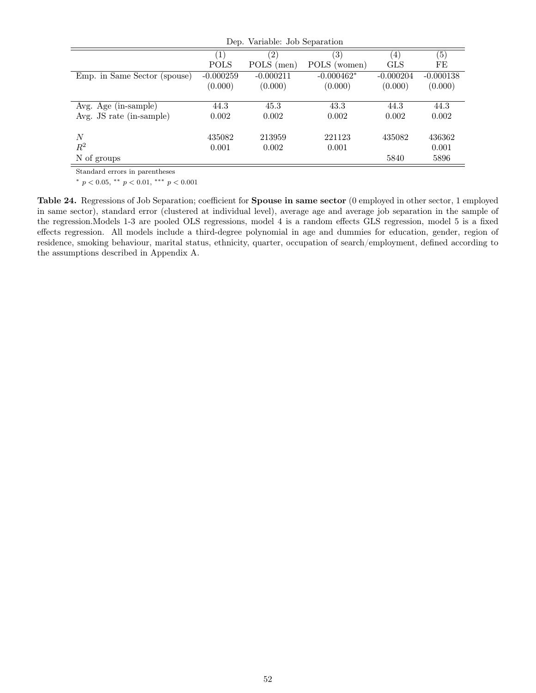| Dep. Variable: Job Separation |             |              |                  |             |  |
|-------------------------------|-------------|--------------|------------------|-------------|--|
| $\mathbf{1}$                  | $^{'}2)$    | (3)          | $\left(4\right)$ | (5)         |  |
| <b>POLS</b>                   | POLS (men)  | POLS (women) | <b>GLS</b>       | FE          |  |
| $-0.000259$                   | $-0.000211$ | $-0.000462*$ | $-0.000204$      | $-0.000138$ |  |
| (0.000)                       | (0.000)     | (0.000)      | (0.000)          | (0.000)     |  |
|                               |             |              |                  |             |  |
| 44.3                          | 45.3        | 43.3         | 44.3             | 44.3        |  |
| 0.002                         | 0.002       | 0.002        | 0.002            | 0.002       |  |
|                               |             |              |                  |             |  |
| 435082                        | 213959      | 221123       | 435082           | 436362      |  |
| 0.001                         | 0.002       | 0.001        |                  | 0.001       |  |
|                               |             |              | 5840             | 5896        |  |
|                               |             |              |                  |             |  |

Standard errors in parentheses

\*  $p < 0.05$ , \*\*  $p < 0.01$ , \*\*\*  $p < 0.001$ 

Table 24. Regressions of Job Separation; coefficient for Spouse in same sector (0 employed in other sector, 1 employed in same sector), standard error (clustered at individual level), average age and average job separation in the sample of the regression.Models 1-3 are pooled OLS regressions, model 4 is a random effects GLS regression, model 5 is a fixed effects regression. All models include a third-degree polynomial in age and dummies for education, gender, region of residence, smoking behaviour, marital status, ethnicity, quarter, occupation of search/employment, defined according to the assumptions described in Appendix A.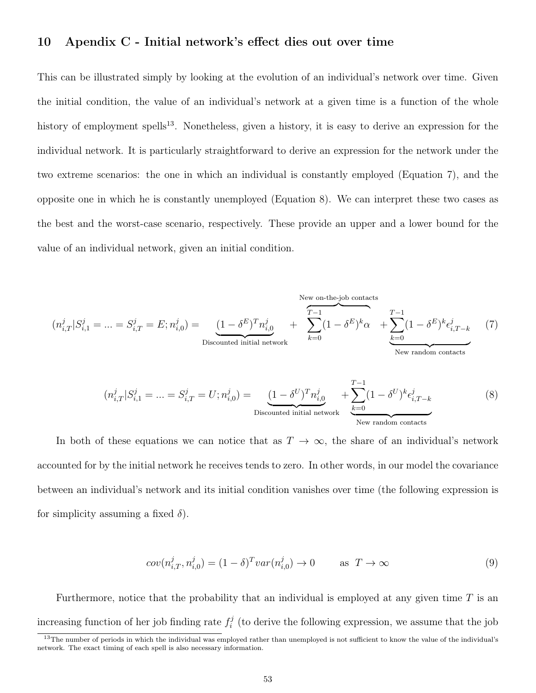## 10 Apendix C - Initial network's effect dies out over time

This can be illustrated simply by looking at the evolution of an individual's network over time. Given the initial condition, the value of an individual's network at a given time is a function of the whole history of employment spells<sup>13</sup>. Nonetheless, given a history, it is easy to derive an expression for the individual network. It is particularly straightforward to derive an expression for the network under the two extreme scenarios: the one in which an individual is constantly employed (Equation 7), and the opposite one in which he is constantly unemployed (Equation 8). We can interpret these two cases as the best and the worst-case scenario, respectively. These provide an upper and a lower bound for the value of an individual network, given an initial condition.

New on-the-job contacts  
\n
$$
(n_{i,T}^j | S_{i,1}^j = \dots = S_{i,T}^j = E; n_{i,0}^j) = \underbrace{(1 - \delta^E)^T n_{i,0}^j}_{\text{Discounted initial network}} + \underbrace{\sum_{k=0}^{T-1} (1 - \delta^E)^k \alpha}_{\text{New random contacts}} + \underbrace{\sum_{k=0}^{T-1} (1 - \delta^E)^k \epsilon_{i,T-k}^j}_{\text{New random contacts}} \tag{7}
$$
\n
$$
(n_{i,T}^j | S_{i,1}^j = \dots = S_{i,T}^j = U; n_{i,0}^j) = \underbrace{(1 - \delta^U)^T n_{i,0}^j}_{\text{Discounted initial network}} + \underbrace{\sum_{k=0}^{T-1} (1 - \delta^U)^k \epsilon_{i,T-k}^j}_{\text{New random contacts}}
$$

In both of these equations we can notice that as  $T \to \infty$ , the share of an individual's network accounted for by the initial network he receives tends to zero. In other words, in our model the covariance between an individual's network and its initial condition vanishes over time (the following expression is for simplicity assuming a fixed  $\delta$ ).

$$
cov(n_{i,T}^j, n_{i,0}^j) = (1 - \delta)^T var(n_{i,0}^j) \to 0 \quad \text{as } T \to \infty
$$
 (9)

Furthermore, notice that the probability that an individual is employed at any given time  $T$  is an increasing function of her job finding rate  $f_i^j$  $i<sub>i</sub>$  (to derive the following expression, we assume that the job

<sup>&</sup>lt;sup>13</sup>The number of periods in which the individual was employed rather than unemployed is not sufficient to know the value of the individual's network. The exact timing of each spell is also necessary information.